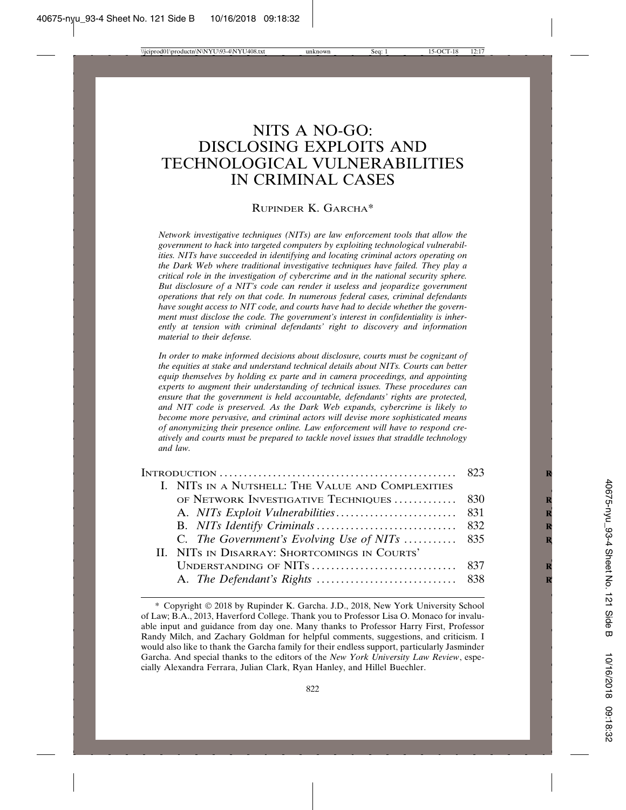# NITS A NO-GO: DISCLOSING EXPLOITS AND TECHNOLOGICAL VULNERABILITIES IN CRIMINAL CASES

### RUPINDER K. GARCHA\*

*Network investigative techniques (NITs) are law enforcement tools that allow the government to hack into targeted computers by exploiting technological vulnerabilities. NITs have succeeded in identifying and locating criminal actors operating on the Dark Web where traditional investigative techniques have failed. They play a critical role in the investigation of cybercrime and in the national security sphere. But disclosure of a NIT's code can render it useless and jeopardize government operations that rely on that code. In numerous federal cases, criminal defendants have sought access to NIT code, and courts have had to decide whether the government must disclose the code. The government's interest in confidentiality is inherently at tension with criminal defendants' right to discovery and information material to their defense.*

*In order to make informed decisions about disclosure, courts must be cognizant of the equities at stake and understand technical details about NITs. Courts can better equip themselves by holding ex parte and in camera proceedings, and appointing experts to augment their understanding of technical issues. These procedures can ensure that the government is held accountable, defendants' rights are protected, and NIT code is preserved. As the Dark Web expands, cybercrime is likely to become more pervasive, and criminal actors will devise more sophisticated means of anonymizing their presence online. Law enforcement will have to respond creatively and courts must be prepared to tackle novel issues that straddle technology and law.*

| INTRODUCTION $\ldots \ldots \ldots \ldots \ldots \ldots \ldots \ldots \ldots \ldots \ldots \ldots \qquad 823$ |
|---------------------------------------------------------------------------------------------------------------|
|                                                                                                               |
| OF NETWORK INVESTIGATIVE TECHNIQUES  830                                                                      |
|                                                                                                               |
|                                                                                                               |
| C. The Government's Evolving Use of NITs  835                                                                 |
|                                                                                                               |
|                                                                                                               |
|                                                                                                               |
|                                                                                                               |

<sup>\*</sup> Copyright © 2018 by Rupinder K. Garcha. J.D., 2018, New York University School of Law; B.A., 2013, Haverford College. Thank you to Professor Lisa O. Monaco for invaluable input and guidance from day one. Many thanks to Professor Harry First, Professor Randy Milch, and Zachary Goldman for helpful comments, suggestions, and criticism. I would also like to thank the Garcha family for their endless support, particularly Jasminder Garcha. And special thanks to the editors of the *New York University Law Review*, especially Alexandra Ferrara, Julian Clark, Ryan Hanley, and Hillel Buechler.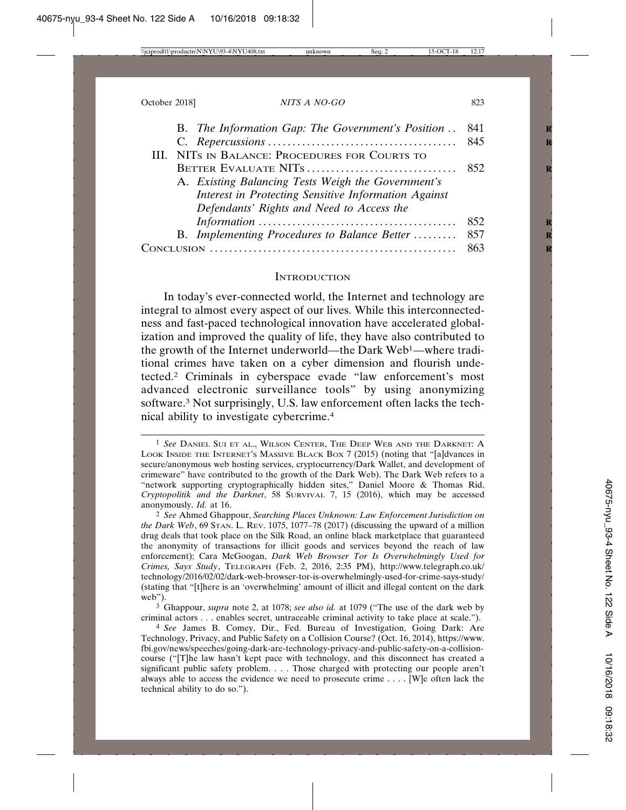| B. The Information Gap: The Government's Position . 841 |      |
|---------------------------------------------------------|------|
|                                                         |      |
| III. NITS IN BALANCE: PROCEDURES FOR COURTS TO          |      |
|                                                         |      |
| A. Existing Balancing Tests Weigh the Government's      |      |
| Interest in Protecting Sensitive Information Against    |      |
| Defendants' Rights and Need to Access the               |      |
|                                                         | 852  |
| B. Implementing Procedures to Balance Better  857       |      |
|                                                         | -863 |
|                                                         |      |

#### **INTRODUCTION**

In today's ever-connected world, the Internet and technology are integral to almost every aspect of our lives. While this interconnectedness and fast-paced technological innovation have accelerated globalization and improved the quality of life, they have also contributed to the growth of the Internet underworld—the Dark Web1—where traditional crimes have taken on a cyber dimension and flourish undetected.2 Criminals in cyberspace evade "law enforcement's most advanced electronic surveillance tools" by using anonymizing software.3 Not surprisingly, U.S. law enforcement often lacks the technical ability to investigate cybercrime.4

<sup>1</sup> *See* DANIEL SUI ET AL., WILSON CENTER, THE DEEP WEB AND THE DARKNET: A LOOK INSIDE THE INTERNET'S MASSIVE BLACK BOX 7 (2015) (noting that "[a]dvances in secure/anonymous web hosting services, cryptocurrency/Dark Wallet, and development of crimeware" have contributed to the growth of the Dark Web). The Dark Web refers to a "network supporting cryptographically hidden sites," Daniel Moore & Thomas Rid, *Cryptopolitik and the Darknet*, 58 SURVIVAL 7, 15 (2016), which may be accessed anonymously. *Id.* at 16.

<sup>2</sup> *See* Ahmed Ghappour, *Searching Places Unknown: Law Enforcement Jurisdiction on the Dark Web*, 69 STAN. L. REV. 1075, 1077–78 (2017) (discussing the upward of a million drug deals that took place on the Silk Road, an online black marketplace that guaranteed the anonymity of transactions for illicit goods and services beyond the reach of law enforcement); Cara McGoogan, *Dark Web Browser Tor Is Overwhelmingly Used for Crimes, Says Study*, TELEGRAPH (Feb. 2, 2016, 2:35 PM), http://www.telegraph.co.uk/ technology/2016/02/02/dark-web-browser-tor-is-overwhelmingly-used-for-crime-says-study/ (stating that "[t]here is an 'overwhelming' amount of illicit and illegal content on the dark web").

<sup>3</sup> Ghappour, *supra* note 2, at 1078; *see also id.* at 1079 ("The use of the dark web by criminal actors . . . enables secret, untraceable criminal activity to take place at scale.").

<sup>4</sup> *See* James B. Comey, Dir., Fed. Bureau of Investigation, Going Dark: Are Technology, Privacy, and Public Safety on a Collision Course? (Oct. 16, 2014), https://www. fbi.gov/news/speeches/going-dark-are-technology-privacy-and-public-safety-on-a-collisioncourse ("[T]he law hasn't kept pace with technology, and this disconnect has created a significant public safety problem. . . . Those charged with protecting our people aren't always able to access the evidence we need to prosecute crime . . . . [W]e often lack the technical ability to do so.").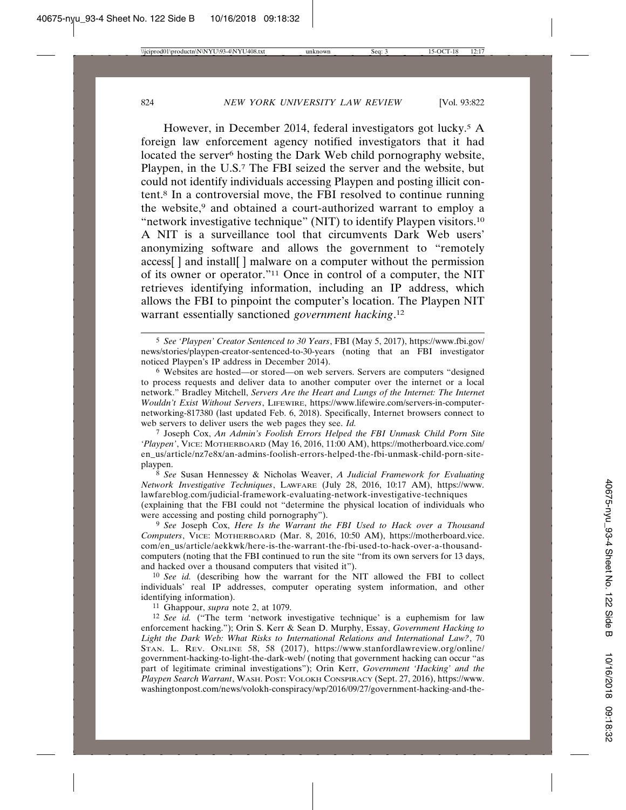However, in December 2014, federal investigators got lucky.<sup>5</sup> A foreign law enforcement agency notified investigators that it had located the server<sup>6</sup> hosting the Dark Web child pornography website, Playpen, in the U.S.7 The FBI seized the server and the website, but could not identify individuals accessing Playpen and posting illicit content.8 In a controversial move, the FBI resolved to continue running the website,<sup>9</sup> and obtained a court-authorized warrant to employ a "network investigative technique" (NIT) to identify Playpen visitors.10 A NIT is a surveillance tool that circumvents Dark Web users' anonymizing software and allows the government to "remotely access[ ] and install[ ] malware on a computer without the permission of its owner or operator."11 Once in control of a computer, the NIT retrieves identifying information, including an IP address, which allows the FBI to pinpoint the computer's location. The Playpen NIT warrant essentially sanctioned *government hacking*. 12

6 Websites are hosted—or stored—on web servers. Servers are computers "designed to process requests and deliver data to another computer over the internet or a local network." Bradley Mitchell, *Servers Are the Heart and Lungs of the Internet: The Internet Wouldn't Exist Without Servers*, LIFEWIRE, https://www.lifewire.com/servers-in-computernetworking-817380 (last updated Feb. 6, 2018). Specifically, Internet browsers connect to web servers to deliver users the web pages they see. *Id.*

7 Joseph Cox, *An Admin's Foolish Errors Helped the FBI Unmask Child Porn Site 'Playpen'*, VICE: MOTHERBOARD (May 16, 2016, 11:00 AM), https://motherboard.vice.com/ en\_us/article/nz7e8x/an-admins-foolish-errors-helped-the-fbi-unmask-child-porn-siteplaypen.

8 *See* Susan Hennessey & Nicholas Weaver, *A Judicial Framework for Evaluating Network Investigative Techniques*, LAWFARE (July 28, 2016, 10:17 AM), https://www. lawfareblog.com/judicial-framework-evaluating-network-investigative-techniques (explaining that the FBI could not "determine the physical location of individuals who

were accessing and posting child pornography").

9 *See* Joseph Cox, *Here Is the Warrant the FBI Used to Hack over a Thousand Computers*, VICE: MOTHERBOARD (Mar. 8, 2016, 10:50 AM), https://motherboard.vice. com/en\_us/article/aekkwk/here-is-the-warrant-the-fbi-used-to-hack-over-a-thousandcomputers (noting that the FBI continued to run the site "from its own servers for 13 days, and hacked over a thousand computers that visited it").

10 *See id.* (describing how the warrant for the NIT allowed the FBI to collect individuals' real IP addresses, computer operating system information, and other identifying information).

11 Ghappour, *supra* note 2, at 1079.

12 *See id.* ("The term 'network investigative technique' is a euphemism for law enforcement hacking."); Orin S. Kerr & Sean D. Murphy, Essay, *Government Hacking to Light the Dark Web: What Risks to International Relations and International Law?*, 70 STAN. L. REV. ONLINE 58, 58 (2017), https://www.stanfordlawreview.org/online/ government-hacking-to-light-the-dark-web/ (noting that government hacking can occur "as part of legitimate criminal investigations"); Orin Kerr, *Government 'Hacking' and the Playpen Search Warrant*, WASH. POST: VOLOKH CONSPIRACY (Sept. 27, 2016), https://www. washingtonpost.com/news/volokh-conspiracy/wp/2016/09/27/government-hacking-and-the-

<sup>5</sup> *See 'Playpen' Creator Sentenced to 30 Years*, FBI (May 5, 2017), https://www.fbi.gov/ news/stories/playpen-creator-sentenced-to-30-years (noting that an FBI investigator noticed Playpen's IP address in December 2014).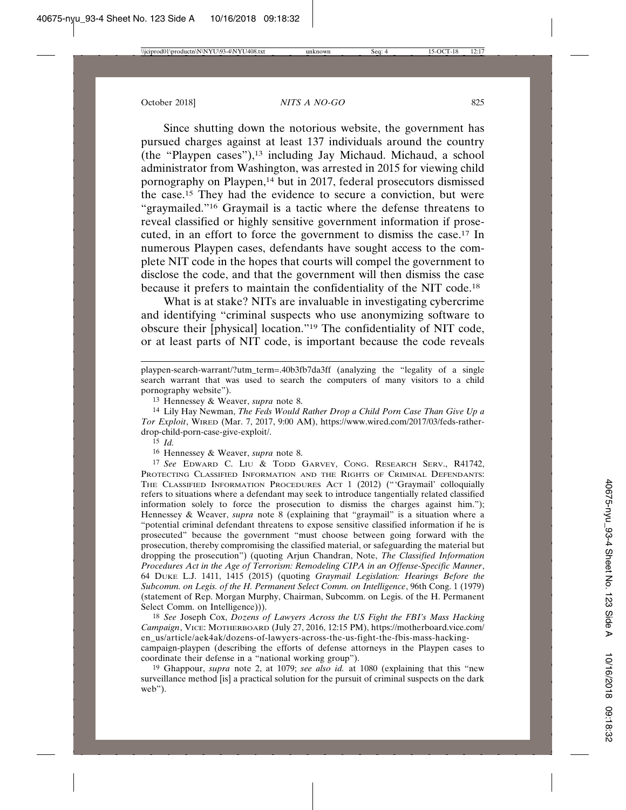Since shutting down the notorious website, the government has pursued charges against at least 137 individuals around the country (the "Playpen cases"), $13$  including Jay Michaud. Michaud, a school administrator from Washington, was arrested in 2015 for viewing child pornography on Playpen,14 but in 2017, federal prosecutors dismissed the case.15 They had the evidence to secure a conviction, but were "graymailed."16 Graymail is a tactic where the defense threatens to reveal classified or highly sensitive government information if prosecuted, in an effort to force the government to dismiss the case.17 In numerous Playpen cases, defendants have sought access to the complete NIT code in the hopes that courts will compel the government to disclose the code, and that the government will then dismiss the case because it prefers to maintain the confidentiality of the NIT code.18

What is at stake? NITs are invaluable in investigating cybercrime and identifying "criminal suspects who use anonymizing software to obscure their [physical] location."19 The confidentiality of NIT code, or at least parts of NIT code, is important because the code reveals

14 Lily Hay Newman, *The Feds Would Rather Drop a Child Porn Case Than Give Up a Tor Exploit*, WIRED (Mar. 7, 2017, 9:00 AM), https://www.wired.com/2017/03/feds-ratherdrop-child-porn-case-give-exploit/.

16 Hennessey & Weaver, *supra* note 8.

17 *See* EDWARD C. LIU & TODD GARVEY, CONG. RESEARCH SERV., R41742, PROTECTING CLASSIFIED INFORMATION AND THE RIGHTS OF CRIMINAL DEFENDANTS: THE CLASSIFIED INFORMATION PROCEDURES ACT 1 (2012) ("'Graymail' colloquially refers to situations where a defendant may seek to introduce tangentially related classified information solely to force the prosecution to dismiss the charges against him."); Hennessey & Weaver, *supra* note 8 (explaining that "graymail" is a situation where a "potential criminal defendant threatens to expose sensitive classified information if he is prosecuted" because the government "must choose between going forward with the prosecution, thereby compromising the classified material, or safeguarding the material but dropping the prosecution") (quoting Arjun Chandran, Note, *The Classified Information Procedures Act in the Age of Terrorism: Remodeling CIPA in an Offense-Specific Manner*, 64 DUKE L.J. 1411, 1415 (2015) (quoting *Graymail Legislation: Hearings Before the Subcomm. on Legis. of the H. Permanent Select Comm. on Intelligence*, 96th Cong. 1 (1979) (statement of Rep. Morgan Murphy, Chairman, Subcomm. on Legis. of the H. Permanent Select Comm. on Intelligence))).

18 *See* Joseph Cox, *Dozens of Lawyers Across the US Fight the FBI's Mass Hacking Campaign*, VICE: MOTHERBOARD (July 27, 2016, 12:15 PM), https://motherboard.vice.com/ en\_us/article/aek4ak/dozens-of-lawyers-across-the-us-fight-the-fbis-mass-hackingcampaign-playpen (describing the efforts of defense attorneys in the Playpen cases to coordinate their defense in a "national working group").

19 Ghappour, *supra* note 2, at 1079; *see also id.* at 1080 (explaining that this "new surveillance method [is] a practical solution for the pursuit of criminal suspects on the dark web").

playpen-search-warrant/?utm\_term=.40b3fb7da3ff (analyzing the "legality of a single search warrant that was used to search the computers of many visitors to a child pornography website").

<sup>13</sup> Hennessey & Weaver, *supra* note 8.

 $\overline{15}$  *Id.*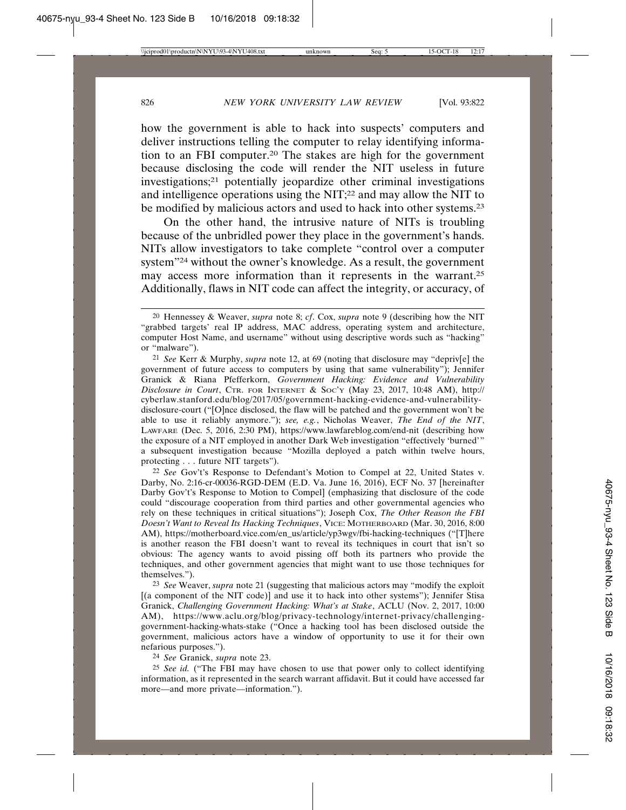how the government is able to hack into suspects' computers and deliver instructions telling the computer to relay identifying information to an FBI computer.20 The stakes are high for the government because disclosing the code will render the NIT useless in future investigations;21 potentially jeopardize other criminal investigations and intelligence operations using the NIT;22 and may allow the NIT to be modified by malicious actors and used to hack into other systems.23

On the other hand, the intrusive nature of NITs is troubling because of the unbridled power they place in the government's hands. NITs allow investigators to take complete "control over a computer system"24 without the owner's knowledge. As a result, the government may access more information than it represents in the warrant.25 Additionally, flaws in NIT code can affect the integrity, or accuracy, of

24 *See* Granick, *supra* note 23.

25 *See id.* ("The FBI may have chosen to use that power only to collect identifying information, as it represented in the search warrant affidavit. But it could have accessed far more—and more private—information.").

<sup>20</sup> Hennessey & Weaver, *supra* note 8; *cf*. Cox, *supra* note 9 (describing how the NIT "grabbed targets' real IP address, MAC address, operating system and architecture, computer Host Name, and username" without using descriptive words such as "hacking" or "malware").

<sup>21</sup> *See* Kerr & Murphy, *supra* note 12, at 69 (noting that disclosure may "depriv[e] the government of future access to computers by using that same vulnerability"); Jennifer Granick & Riana Pfefferkorn, *Government Hacking: Evidence and Vulnerability Disclosure in Court*, CTR. FOR INTERNET & SOC'Y (May 23, 2017, 10:48 AM), http:// cyberlaw.stanford.edu/blog/2017/05/government-hacking-evidence-and-vulnerabilitydisclosure-court ("[O]nce disclosed, the flaw will be patched and the government won't be able to use it reliably anymore."); *see, e.g.*, Nicholas Weaver, *The End of the NIT*, LAWFARE (Dec. 5, 2016, 2:30 PM), https://www.lawfareblog.com/end-nit (describing how the exposure of a NIT employed in another Dark Web investigation "effectively 'burned'" a subsequent investigation because "Mozilla deployed a patch within twelve hours, protecting . . . future NIT targets").

<sup>22</sup> *See* Gov't's Response to Defendant's Motion to Compel at 22, United States v. Darby, No. 2:16-cr-00036-RGD-DEM (E.D. Va. June 16, 2016), ECF No. 37 [hereinafter Darby Gov't's Response to Motion to Compel] (emphasizing that disclosure of the code could "discourage cooperation from third parties and other governmental agencies who rely on these techniques in critical situations"); Joseph Cox, *The Other Reason the FBI Doesn't Want to Reveal Its Hacking Techniques*, VICE: MOTHERBOARD (Mar. 30, 2016, 8:00 AM), https://motherboard.vice.com/en\_us/article/yp3wgv/fbi-hacking-techniques ("[T]here is another reason the FBI doesn't want to reveal its techniques in court that isn't so obvious: The agency wants to avoid pissing off both its partners who provide the techniques, and other government agencies that might want to use those techniques for themselves.").

<sup>23</sup> *See* Weaver, *supra* note 21 (suggesting that malicious actors may "modify the exploit [(a component of the NIT code)] and use it to hack into other systems"); Jennifer Stisa Granick, *Challenging Government Hacking: What's at Stake*, ACLU (Nov. 2, 2017, 10:00 AM), https://www.aclu.org/blog/privacy-technology/internet-privacy/challenginggovernment-hacking-whats-stake ("Once a hacking tool has been disclosed outside the government, malicious actors have a window of opportunity to use it for their own nefarious purposes.").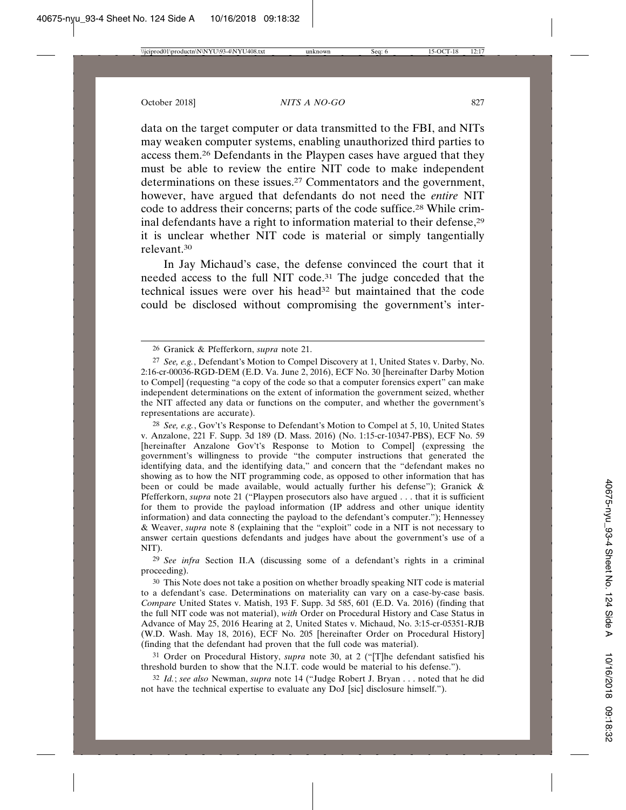data on the target computer or data transmitted to the FBI, and NITs may weaken computer systems, enabling unauthorized third parties to access them.26 Defendants in the Playpen cases have argued that they must be able to review the entire NIT code to make independent determinations on these issues.<sup>27</sup> Commentators and the government, however, have argued that defendants do not need the *entire* NIT code to address their concerns; parts of the code suffice.28 While criminal defendants have a right to information material to their defense,29 it is unclear whether NIT code is material or simply tangentially relevant.30

In Jay Michaud's case, the defense convinced the court that it needed access to the full NIT code.31 The judge conceded that the technical issues were over his head<sup>32</sup> but maintained that the code could be disclosed without compromising the government's inter-

28 *See, e.g.*, Gov't's Response to Defendant's Motion to Compel at 5, 10, United States v. Anzalone, 221 F. Supp. 3d 189 (D. Mass. 2016) (No. 1:15-cr-10347-PBS), ECF No. 59 [hereinafter Anzalone Gov't's Response to Motion to Compel] (expressing the government's willingness to provide "the computer instructions that generated the identifying data, and the identifying data," and concern that the "defendant makes no showing as to how the NIT programming code, as opposed to other information that has been or could be made available, would actually further his defense"); Granick & Pfefferkorn, *supra* note 21 ("Playpen prosecutors also have argued . . . that it is sufficient for them to provide the payload information (IP address and other unique identity information) and data connecting the payload to the defendant's computer."); Hennessey & Weaver, *supra* note 8 (explaining that the "exploit" code in a NIT is not necessary to answer certain questions defendants and judges have about the government's use of a NIT).

29 *See infra* Section II.A (discussing some of a defendant's rights in a criminal proceeding).

30 This Note does not take a position on whether broadly speaking NIT code is material to a defendant's case. Determinations on materiality can vary on a case-by-case basis. *Compare* United States v. Matish, 193 F. Supp. 3d 585, 601 (E.D. Va. 2016) (finding that the full NIT code was not material), *with* Order on Procedural History and Case Status in Advance of May 25, 2016 Hearing at 2, United States v. Michaud, No. 3:15-cr-05351-RJB (W.D. Wash. May 18, 2016), ECF No. 205 [hereinafter Order on Procedural History] (finding that the defendant had proven that the full code was material).

31 Order on Procedural History, *supra* note 30, at 2 ("[T]he defendant satisfied his threshold burden to show that the N.I.T. code would be material to his defense.").

32 *Id.*; *see also* Newman, *supra* note 14 ("Judge Robert J. Bryan . . . noted that he did not have the technical expertise to evaluate any DoJ [sic] disclosure himself.").

<sup>26</sup> Granick & Pfefferkorn, *supra* note 21.

<sup>27</sup> *See, e.g.*, Defendant's Motion to Compel Discovery at 1, United States v. Darby, No. 2:16-cr-00036-RGD-DEM (E.D. Va. June 2, 2016), ECF No. 30 [hereinafter Darby Motion to Compel] (requesting "a copy of the code so that a computer forensics expert" can make independent determinations on the extent of information the government seized, whether the NIT affected any data or functions on the computer, and whether the government's representations are accurate).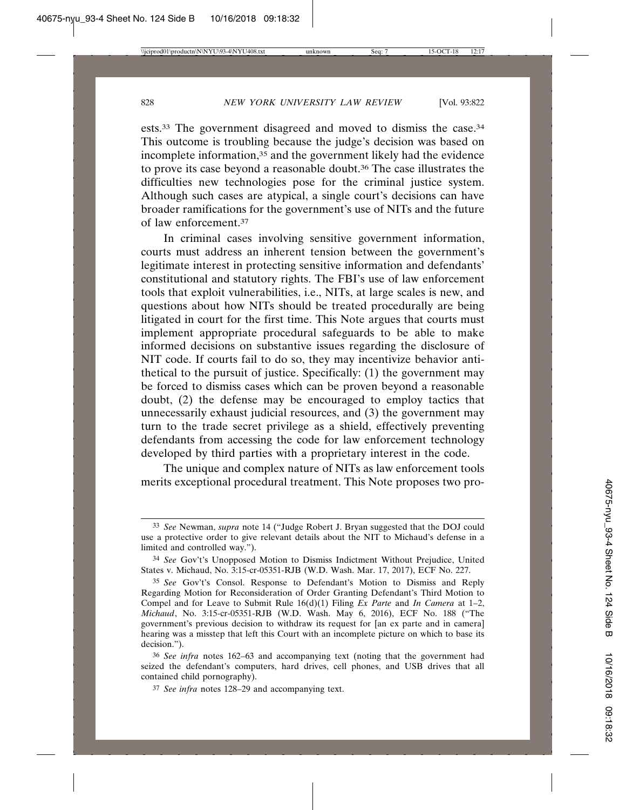ests.33 The government disagreed and moved to dismiss the case.34 This outcome is troubling because the judge's decision was based on incomplete information,35 and the government likely had the evidence to prove its case beyond a reasonable doubt.36 The case illustrates the difficulties new technologies pose for the criminal justice system. Although such cases are atypical, a single court's decisions can have broader ramifications for the government's use of NITs and the future of law enforcement.37

In criminal cases involving sensitive government information, courts must address an inherent tension between the government's legitimate interest in protecting sensitive information and defendants' constitutional and statutory rights. The FBI's use of law enforcement tools that exploit vulnerabilities, i.e., NITs, at large scales is new, and questions about how NITs should be treated procedurally are being litigated in court for the first time. This Note argues that courts must implement appropriate procedural safeguards to be able to make informed decisions on substantive issues regarding the disclosure of NIT code. If courts fail to do so, they may incentivize behavior antithetical to the pursuit of justice. Specifically: (1) the government may be forced to dismiss cases which can be proven beyond a reasonable doubt, (2) the defense may be encouraged to employ tactics that unnecessarily exhaust judicial resources, and (3) the government may turn to the trade secret privilege as a shield, effectively preventing defendants from accessing the code for law enforcement technology developed by third parties with a proprietary interest in the code.

The unique and complex nature of NITs as law enforcement tools merits exceptional procedural treatment. This Note proposes two pro-

<sup>33</sup> *See* Newman, *supra* note 14 ("Judge Robert J. Bryan suggested that the DOJ could use a protective order to give relevant details about the NIT to Michaud's defense in a limited and controlled way.").

<sup>34</sup> *See* Gov't's Unopposed Motion to Dismiss Indictment Without Prejudice, United States v. Michaud, No. 3:15-cr-05351-RJB (W.D. Wash. Mar. 17, 2017), ECF No. 227.

<sup>35</sup> *See* Gov't's Consol. Response to Defendant's Motion to Dismiss and Reply Regarding Motion for Reconsideration of Order Granting Defendant's Third Motion to Compel and for Leave to Submit Rule 16(d)(1) Filing *Ex Parte* and *In Camera* at 1–2, *Michaud*, No. 3:15-cr-05351-RJB (W.D. Wash. May 6, 2016), ECF No. 188 ("The government's previous decision to withdraw its request for [an ex parte and in camera] hearing was a misstep that left this Court with an incomplete picture on which to base its decision.").

<sup>36</sup> *See infra* notes 162–63 and accompanying text (noting that the government had seized the defendant's computers, hard drives, cell phones, and USB drives that all contained child pornography).

<sup>37</sup> *See infra* notes 128–29 and accompanying text.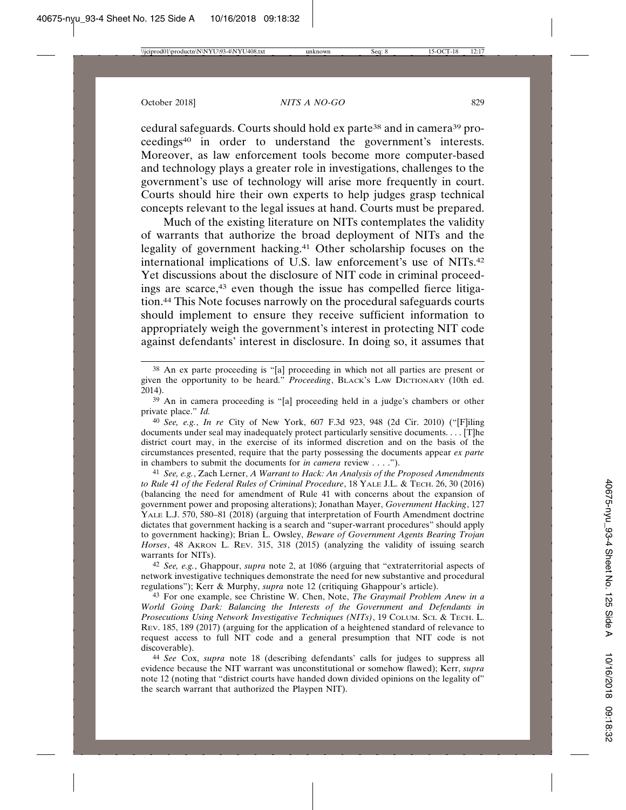cedural safeguards. Courts should hold ex parte38 and in camera39 proceedings40 in order to understand the government's interests. Moreover, as law enforcement tools become more computer-based and technology plays a greater role in investigations, challenges to the government's use of technology will arise more frequently in court. Courts should hire their own experts to help judges grasp technical concepts relevant to the legal issues at hand. Courts must be prepared.

Much of the existing literature on NITs contemplates the validity of warrants that authorize the broad deployment of NITs and the legality of government hacking.41 Other scholarship focuses on the international implications of U.S. law enforcement's use of NITs.42 Yet discussions about the disclosure of NIT code in criminal proceedings are scarce,43 even though the issue has compelled fierce litigation.44 This Note focuses narrowly on the procedural safeguards courts should implement to ensure they receive sufficient information to appropriately weigh the government's interest in protecting NIT code against defendants' interest in disclosure. In doing so, it assumes that

42 *See, e.g.*, Ghappour, *supra* note 2, at 1086 (arguing that "extraterritorial aspects of network investigative techniques demonstrate the need for new substantive and procedural regulations"); Kerr & Murphy, *supra* note 12 (critiquing Ghappour's article).

43 For one example, see Christine W. Chen, Note, *The Graymail Problem Anew in a World Going Dark: Balancing the Interests of the Government and Defendants in Prosecutions Using Network Investigative Techniques (NITs)*, 19 COLUM. SCI. & TECH. L. REV. 185, 189 (2017) (arguing for the application of a heightened standard of relevance to request access to full NIT code and a general presumption that NIT code is not discoverable).

44 *See* Cox, *supra* note 18 (describing defendants' calls for judges to suppress all evidence because the NIT warrant was unconstitutional or somehow flawed); Kerr, *supra* note 12 (noting that "district courts have handed down divided opinions on the legality of" the search warrant that authorized the Playpen NIT).

<sup>38</sup> An ex parte proceeding is "[a] proceeding in which not all parties are present or given the opportunity to be heard." *Proceeding*, BLACK'S LAW DICTIONARY (10th ed. 2014).

<sup>39</sup> An in camera proceeding is "[a] proceeding held in a judge's chambers or other private place." *Id.*

<sup>40</sup> *See, e.g.*, *In re* City of New York, 607 F.3d 923, 948 (2d Cir. 2010) ("[F]iling documents under seal may inadequately protect particularly sensitive documents. . . . [T]he district court may, in the exercise of its informed discretion and on the basis of the circumstances presented, require that the party possessing the documents appear *ex parte* in chambers to submit the documents for *in camera* review . . . .").

<sup>41</sup> *See, e.g.*, Zach Lerner, *A Warrant to Hack: An Analysis of the Proposed Amendments to Rule 41 of the Federal Rules of Criminal Procedure*, 18 YALE J.L. & TECH. 26, 30 (2016) (balancing the need for amendment of Rule 41 with concerns about the expansion of government power and proposing alterations); Jonathan Mayer, *Government Hacking*, 127 YALE L.J. 570, 580–81 (2018) (arguing that interpretation of Fourth Amendment doctrine dictates that government hacking is a search and "super-warrant procedures" should apply to government hacking); Brian L. Owsley, *Beware of Government Agents Bearing Trojan Horses*, 48 AKRON L. REV. 315, 318 (2015) (analyzing the validity of issuing search warrants for NITs).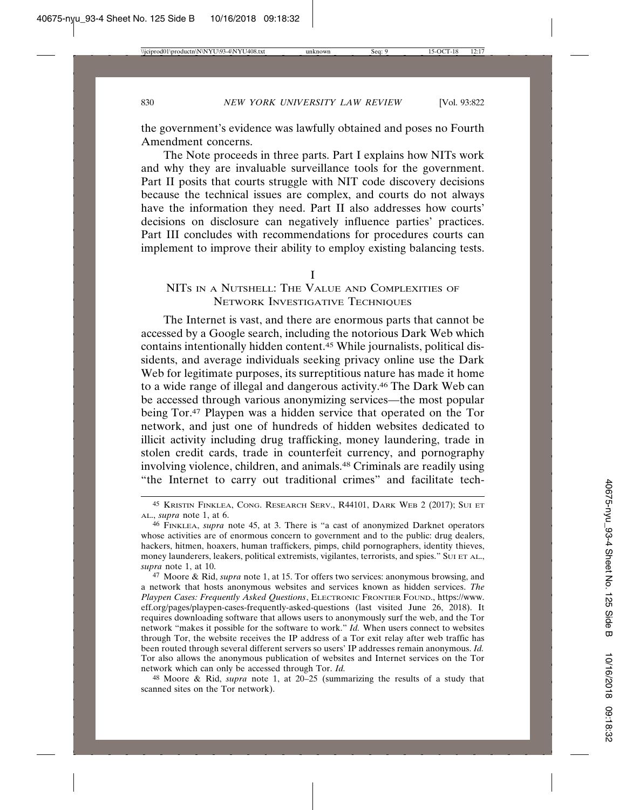the government's evidence was lawfully obtained and poses no Fourth Amendment concerns.

The Note proceeds in three parts. Part I explains how NITs work and why they are invaluable surveillance tools for the government. Part II posits that courts struggle with NIT code discovery decisions because the technical issues are complex, and courts do not always have the information they need. Part II also addresses how courts' decisions on disclosure can negatively influence parties' practices. Part III concludes with recommendations for procedures courts can implement to improve their ability to employ existing balancing tests.

#### I

### NITS IN A NUTSHELL: THE VALUE AND COMPLEXITIES OF NETWORK INVESTIGATIVE TECHNIQUES

The Internet is vast, and there are enormous parts that cannot be accessed by a Google search, including the notorious Dark Web which contains intentionally hidden content.45 While journalists, political dissidents, and average individuals seeking privacy online use the Dark Web for legitimate purposes, its surreptitious nature has made it home to a wide range of illegal and dangerous activity.46 The Dark Web can be accessed through various anonymizing services—the most popular being Tor.47 Playpen was a hidden service that operated on the Tor network, and just one of hundreds of hidden websites dedicated to illicit activity including drug trafficking, money laundering, trade in stolen credit cards, trade in counterfeit currency, and pornography involving violence, children, and animals.48 Criminals are readily using "the Internet to carry out traditional crimes" and facilitate tech-

<sup>45</sup> KRISTIN FINKLEA, CONG. RESEARCH SERV., R44101, DARK WEB 2 (2017); SUI ET AL., *supra* note 1, at 6.

<sup>46</sup> FINKLEA, *supra* note 45, at 3. There is "a cast of anonymized Darknet operators whose activities are of enormous concern to government and to the public: drug dealers, hackers, hitmen, hoaxers, human traffickers, pimps, child pornographers, identity thieves, money launderers, leakers, political extremists, vigilantes, terrorists, and spies." SUI ET AL., *supra* note 1, at 10.

<sup>47</sup> Moore & Rid, *supra* note 1, at 15. Tor offers two services: anonymous browsing, and a network that hosts anonymous websites and services known as hidden services. *The Playpen Cases: Frequently Asked Questions*, ELECTRONIC FRONTIER FOUND., https://www. eff.org/pages/playpen-cases-frequently-asked-questions (last visited June 26, 2018). It requires downloading software that allows users to anonymously surf the web, and the Tor network "makes it possible for the software to work." *Id.* When users connect to websites through Tor, the website receives the IP address of a Tor exit relay after web traffic has been routed through several different servers so users' IP addresses remain anonymous. *Id.* Tor also allows the anonymous publication of websites and Internet services on the Tor network which can only be accessed through Tor. *Id.*

<sup>48</sup> Moore & Rid, *supra* note 1, at 20–25 (summarizing the results of a study that scanned sites on the Tor network).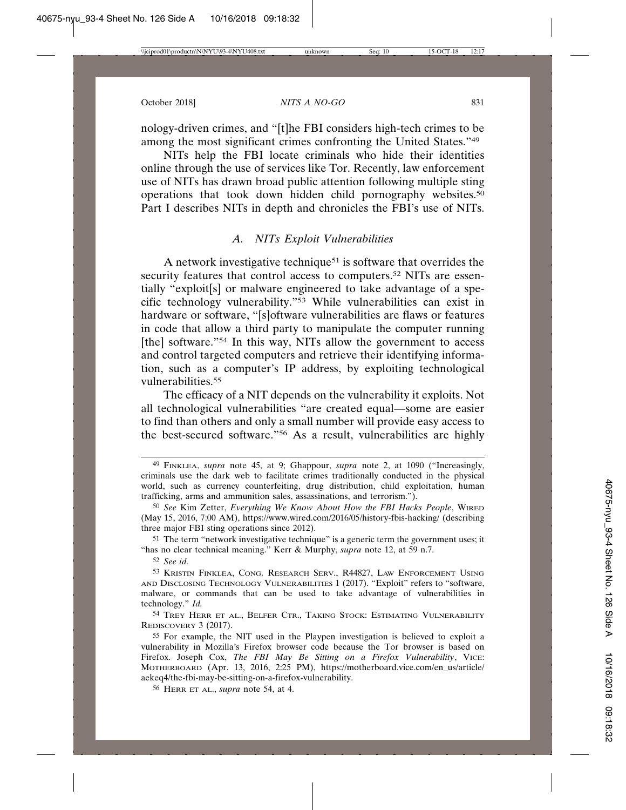nology-driven crimes, and "[t]he FBI considers high-tech crimes to be among the most significant crimes confronting the United States."49

NITs help the FBI locate criminals who hide their identities online through the use of services like Tor. Recently, law enforcement use of NITs has drawn broad public attention following multiple sting operations that took down hidden child pornography websites.50 Part I describes NITs in depth and chronicles the FBI's use of NITs.

### *A. NITs Exploit Vulnerabilities*

A network investigative technique51 is software that overrides the security features that control access to computers.<sup>52</sup> NITs are essentially "exploit[s] or malware engineered to take advantage of a specific technology vulnerability."53 While vulnerabilities can exist in hardware or software, "[s]oftware vulnerabilities are flaws or features in code that allow a third party to manipulate the computer running [the] software."<sup>54</sup> In this way, NITs allow the government to access and control targeted computers and retrieve their identifying information, such as a computer's IP address, by exploiting technological vulnerabilities.55

The efficacy of a NIT depends on the vulnerability it exploits. Not all technological vulnerabilities "are created equal—some are easier to find than others and only a small number will provide easy access to the best-secured software."56 As a result, vulnerabilities are highly

51 The term "network investigative technique" is a generic term the government uses; it "has no clear technical meaning." Kerr & Murphy, *supra* note 12, at 59 n.7.

52 *See id.*

54 TREY HERR ET AL., BELFER CTR., TAKING STOCK: ESTIMATING VULNERABILITY REDISCOVERY 3 (2017).

<sup>49</sup> FINKLEA, *supra* note 45, at 9; Ghappour, *supra* note 2, at 1090 ("Increasingly, criminals use the dark web to facilitate crimes traditionally conducted in the physical world, such as currency counterfeiting, drug distribution, child exploitation, human trafficking, arms and ammunition sales, assassinations, and terrorism.").

<sup>50</sup> *See* Kim Zetter, *Everything We Know About How the FBI Hacks People*, WIRED (May 15, 2016, 7:00 AM), https://www.wired.com/2016/05/history-fbis-hacking/ (describing three major FBI sting operations since 2012).

<sup>53</sup> KRISTIN FINKLEA, CONG. RESEARCH SERV., R44827, LAW ENFORCEMENT USING AND DISCLOSING TECHNOLOGY VULNERABILITIES 1 (2017). "Exploit" refers to "software, malware, or commands that can be used to take advantage of vulnerabilities in technology." *Id.*

<sup>55</sup> For example, the NIT used in the Playpen investigation is believed to exploit a vulnerability in Mozilla's Firefox browser code because the Tor browser is based on Firefox. Joseph Cox, *The FBI May Be Sitting on a Firefox Vulnerability*, VICE: MOTHERBOARD (Apr. 13, 2016, 2:25 PM), https://motherboard.vice.com/en\_us/article/ aekeq4/the-fbi-may-be-sitting-on-a-firefox-vulnerability.

<sup>56</sup> HERR ET AL., *supra* note 54, at 4.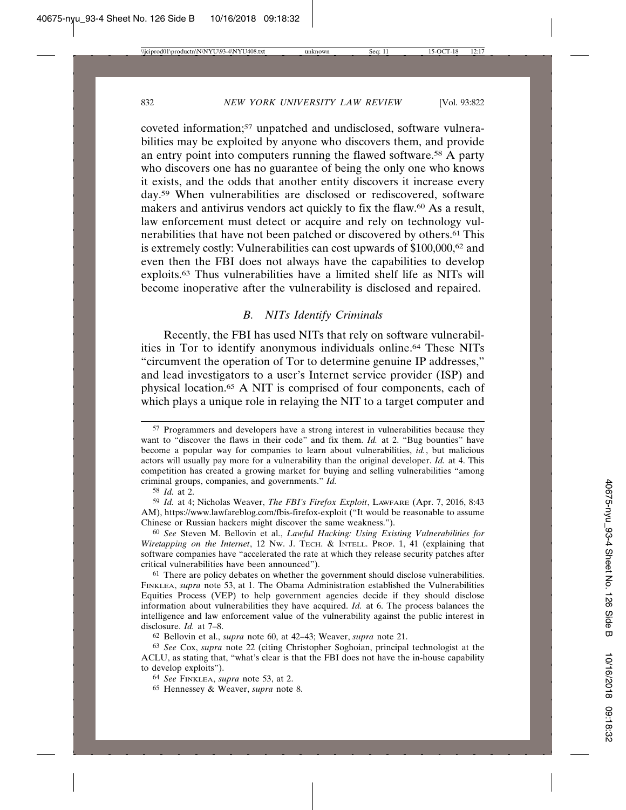coveted information;57 unpatched and undisclosed, software vulnerabilities may be exploited by anyone who discovers them, and provide an entry point into computers running the flawed software.58 A party who discovers one has no guarantee of being the only one who knows it exists, and the odds that another entity discovers it increase every day.59 When vulnerabilities are disclosed or rediscovered, software makers and antivirus vendors act quickly to fix the flaw.60 As a result, law enforcement must detect or acquire and rely on technology vulnerabilities that have not been patched or discovered by others.61 This is extremely costly: Vulnerabilities can cost upwards of \$100,000,62 and even then the FBI does not always have the capabilities to develop exploits.63 Thus vulnerabilities have a limited shelf life as NITs will become inoperative after the vulnerability is disclosed and repaired.

#### *B. NITs Identify Criminals*

Recently, the FBI has used NITs that rely on software vulnerabilities in Tor to identify anonymous individuals online.64 These NITs "circumvent the operation of Tor to determine genuine IP addresses," and lead investigators to a user's Internet service provider (ISP) and physical location.65 A NIT is comprised of four components, each of which plays a unique role in relaying the NIT to a target computer and

<sup>57</sup> Programmers and developers have a strong interest in vulnerabilities because they want to "discover the flaws in their code" and fix them. *Id.* at 2. "Bug bounties" have become a popular way for companies to learn about vulnerabilities, *id.*, but malicious actors will usually pay more for a vulnerability than the original developer. *Id.* at 4. This competition has created a growing market for buying and selling vulnerabilities "among criminal groups, companies, and governments." *Id.*

<sup>58</sup> *Id.* at 2.

<sup>59</sup> *Id.* at 4; Nicholas Weaver, *The FBI's Firefox Exploit*, LAWFARE (Apr. 7, 2016, 8:43 AM), https://www.lawfareblog.com/fbis-firefox-exploit ("It would be reasonable to assume Chinese or Russian hackers might discover the same weakness.").

<sup>60</sup> *See* Steven M. Bellovin et al., *Lawful Hacking: Using Existing Vulnerabilities for Wiretapping on the Internet*, 12 NW. J. TECH. & INTELL. PROP. 1, 41 (explaining that software companies have "accelerated the rate at which they release security patches after critical vulnerabilities have been announced").

 $61$  There are policy debates on whether the government should disclose vulnerabilities. FINKLEA, *supra* note 53, at 1. The Obama Administration established the Vulnerabilities Equities Process (VEP) to help government agencies decide if they should disclose information about vulnerabilities they have acquired. *Id.* at 6. The process balances the intelligence and law enforcement value of the vulnerability against the public interest in disclosure. *Id.* at 7–8.

<sup>62</sup> Bellovin et al., *supra* note 60, at 42–43; Weaver, *supra* note 21.

<sup>63</sup> *See* Cox, *supra* note 22 (citing Christopher Soghoian, principal technologist at the ACLU, as stating that, "what's clear is that the FBI does not have the in-house capability to develop exploits").

<sup>64</sup> *See* FINKLEA, *supra* note 53, at 2.

<sup>65</sup> Hennessey & Weaver, *supra* note 8.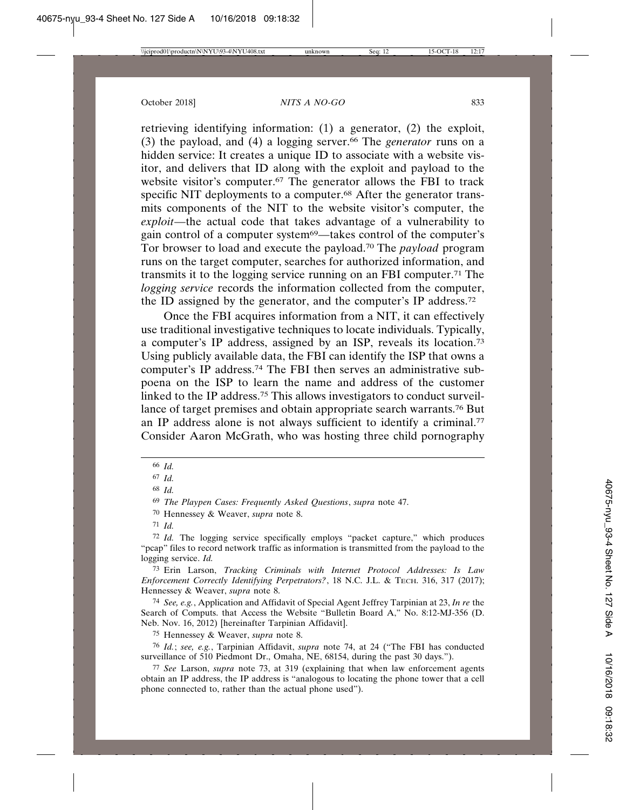retrieving identifying information: (1) a generator, (2) the exploit, (3) the payload, and (4) a logging server.66 The *generator* runs on a hidden service: It creates a unique ID to associate with a website visitor, and delivers that ID along with the exploit and payload to the website visitor's computer.67 The generator allows the FBI to track specific NIT deployments to a computer.<sup>68</sup> After the generator transmits components of the NIT to the website visitor's computer, the *exploit*—the actual code that takes advantage of a vulnerability to gain control of a computer system<sup>69</sup>—takes control of the computer's Tor browser to load and execute the payload.70 The *payload* program runs on the target computer, searches for authorized information, and transmits it to the logging service running on an FBI computer.71 The *logging service* records the information collected from the computer, the ID assigned by the generator, and the computer's IP address.72

Once the FBI acquires information from a NIT, it can effectively use traditional investigative techniques to locate individuals. Typically, a computer's IP address, assigned by an ISP, reveals its location.73 Using publicly available data, the FBI can identify the ISP that owns a computer's IP address.74 The FBI then serves an administrative subpoena on the ISP to learn the name and address of the customer linked to the IP address.75 This allows investigators to conduct surveillance of target premises and obtain appropriate search warrants.76 But an IP address alone is not always sufficient to identify a criminal.<sup>77</sup> Consider Aaron McGrath, who was hosting three child pornography

73 Erin Larson, *Tracking Criminals with Internet Protocol Addresses: Is Law Enforcement Correctly Identifying Perpetrators?*, 18 N.C. J.L. & TECH. 316, 317 (2017); Hennessey & Weaver, *supra* note 8.

74 *See, e.g.*, Application and Affidavit of Special Agent Jeffrey Tarpinian at 23, *In re* the Search of Computs. that Access the Website "Bulletin Board A," No. 8:12-MJ-356 (D. Neb. Nov. 16, 2012) [hereinafter Tarpinian Affidavit].

75 Hennessey & Weaver, *supra* note 8.

76 *Id.*; *see, e.g.*, Tarpinian Affidavit, *supra* note 74, at 24 ("The FBI has conducted surveillance of 510 Piedmont Dr., Omaha, NE, 68154, during the past 30 days.").

77 *See* Larson, *supra* note 73, at 319 (explaining that when law enforcement agents obtain an IP address, the IP address is "analogous to locating the phone tower that a cell phone connected to, rather than the actual phone used").

<sup>66</sup> *Id.*

<sup>67</sup> *Id.*

<sup>68</sup> *Id.*

<sup>69</sup> *The Playpen Cases: Frequently Asked Questions*, *supra* note 47.

<sup>70</sup> Hennessey & Weaver, *supra* note 8.

<sup>71</sup> *Id.*

<sup>72</sup> *Id.* The logging service specifically employs "packet capture," which produces "pcap" files to record network traffic as information is transmitted from the payload to the logging service. *Id.*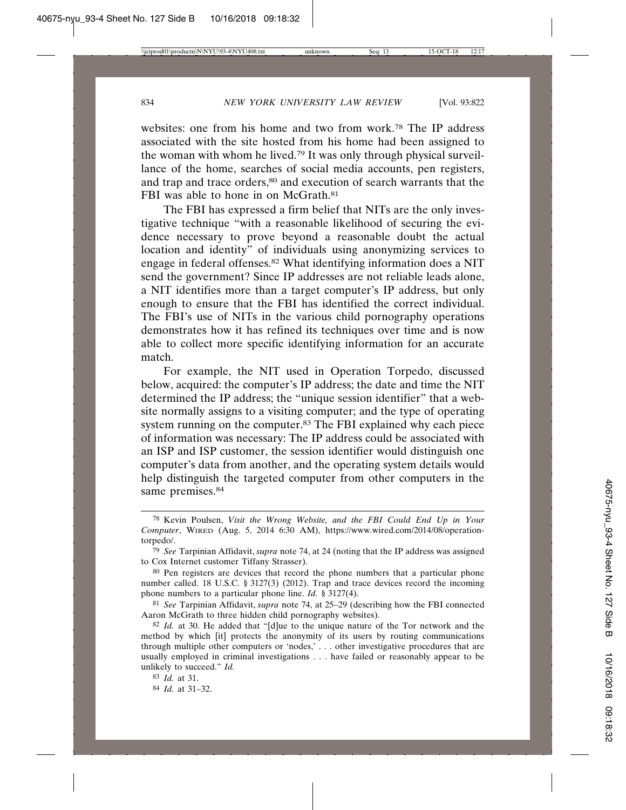websites: one from his home and two from work.78 The IP address associated with the site hosted from his home had been assigned to the woman with whom he lived.79 It was only through physical surveillance of the home, searches of social media accounts, pen registers, and trap and trace orders,<sup>80</sup> and execution of search warrants that the FBI was able to hone in on McGrath.<sup>81</sup>

The FBI has expressed a firm belief that NITs are the only investigative technique "with a reasonable likelihood of securing the evidence necessary to prove beyond a reasonable doubt the actual location and identity" of individuals using anonymizing services to engage in federal offenses.<sup>82</sup> What identifying information does a NIT send the government? Since IP addresses are not reliable leads alone, a NIT identifies more than a target computer's IP address, but only enough to ensure that the FBI has identified the correct individual. The FBI's use of NITs in the various child pornography operations demonstrates how it has refined its techniques over time and is now able to collect more specific identifying information for an accurate match.

For example, the NIT used in Operation Torpedo, discussed below, acquired: the computer's IP address; the date and time the NIT determined the IP address; the "unique session identifier" that a website normally assigns to a visiting computer; and the type of operating system running on the computer.<sup>83</sup> The FBI explained why each piece of information was necessary: The IP address could be associated with an ISP and ISP customer, the session identifier would distinguish one computer's data from another, and the operating system details would help distinguish the targeted computer from other computers in the same premises.<sup>84</sup>

83 *Id.* at 31.

84 *Id.* at 31–32.

<sup>78</sup> Kevin Poulsen, *Visit the Wrong Website, and the FBI Could End Up in Your Computer*, WIRED (Aug. 5, 2014 6:30 AM), https://www.wired.com/2014/08/operationtorpedo/.

<sup>79</sup> *See* Tarpinian Affidavit, *supra* note 74, at 24 (noting that the IP address was assigned to Cox Internet customer Tiffany Strasser).

<sup>80</sup> Pen registers are devices that record the phone numbers that a particular phone number called. 18 U.S.C. § 3127(3) (2012). Trap and trace devices record the incoming phone numbers to a particular phone line. *Id.* § 3127(4).

<sup>81</sup> *See* Tarpinian Affidavit, *supra* note 74, at 25–29 (describing how the FBI connected Aaron McGrath to three hidden child pornography websites).

<sup>82</sup> *Id.* at 30. He added that "[d]ue to the unique nature of the Tor network and the method by which [it] protects the anonymity of its users by routing communications through multiple other computers or 'nodes,' . . . other investigative procedures that are usually employed in criminal investigations . . . have failed or reasonably appear to be unlikely to succeed." *Id.*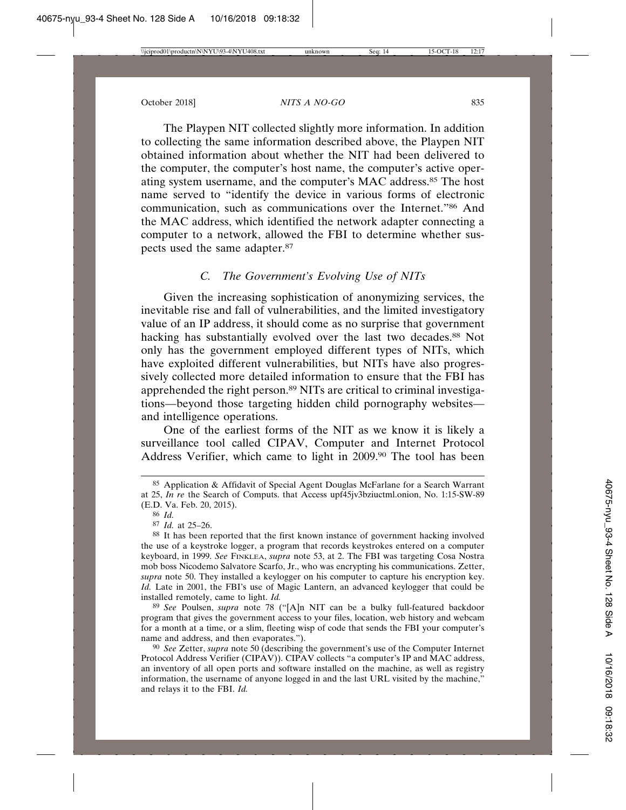The Playpen NIT collected slightly more information. In addition to collecting the same information described above, the Playpen NIT obtained information about whether the NIT had been delivered to the computer, the computer's host name, the computer's active operating system username, and the computer's MAC address.85 The host name served to "identify the device in various forms of electronic communication, such as communications over the Internet."86 And the MAC address, which identified the network adapter connecting a computer to a network, allowed the FBI to determine whether suspects used the same adapter.87

### *C. The Government's Evolving Use of NITs*

Given the increasing sophistication of anonymizing services, the inevitable rise and fall of vulnerabilities, and the limited investigatory value of an IP address, it should come as no surprise that government hacking has substantially evolved over the last two decades.88 Not only has the government employed different types of NITs, which have exploited different vulnerabilities, but NITs have also progressively collected more detailed information to ensure that the FBI has apprehended the right person.89 NITs are critical to criminal investigations—beyond those targeting hidden child pornography websites and intelligence operations.

One of the earliest forms of the NIT as we know it is likely a surveillance tool called CIPAV, Computer and Internet Protocol Address Verifier, which came to light in 2009.90 The tool has been

89 *See* Poulsen, *supra* note 78 ("[A]n NIT can be a bulky full-featured backdoor program that gives the government access to your files, location, web history and webcam for a month at a time, or a slim, fleeting wisp of code that sends the FBI your computer's name and address, and then evaporates.").

90 *See* Zetter, *supra* note 50 (describing the government's use of the Computer Internet Protocol Address Verifier (CIPAV)). CIPAV collects "a computer's IP and MAC address, an inventory of all open ports and software installed on the machine, as well as registry information, the username of anyone logged in and the last URL visited by the machine," and relays it to the FBI. *Id.*

<sup>85</sup> Application & Affidavit of Special Agent Douglas McFarlane for a Search Warrant at 25, *In re* the Search of Computs. that Access upf45jv3bziuctml.onion, No. 1:15-SW-89 (E.D. Va. Feb. 20, 2015).

<sup>86</sup> *Id.*

<sup>87</sup> *Id.* at 25–26.

<sup>88</sup> It has been reported that the first known instance of government hacking involved the use of a keystroke logger, a program that records keystrokes entered on a computer keyboard, in 1999. *See* FINKLEA, *supra* note 53, at 2. The FBI was targeting Cosa Nostra mob boss Nicodemo Salvatore Scarfo, Jr., who was encrypting his communications. Zetter, *supra* note 50. They installed a keylogger on his computer to capture his encryption key. *Id.* Late in 2001, the FBI's use of Magic Lantern, an advanced keylogger that could be installed remotely, came to light. *Id.*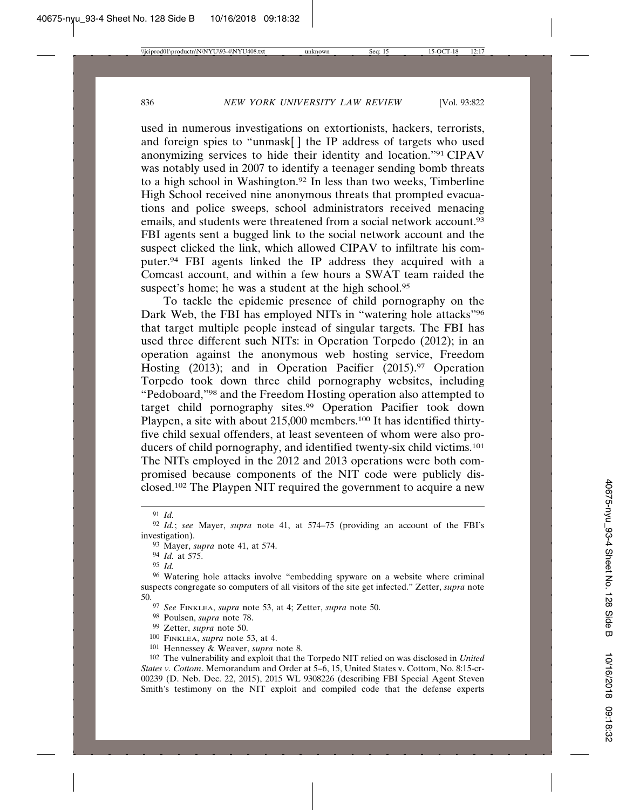used in numerous investigations on extortionists, hackers, terrorists, and foreign spies to "unmask[ ] the IP address of targets who used anonymizing services to hide their identity and location."91 CIPAV was notably used in 2007 to identify a teenager sending bomb threats to a high school in Washington.92 In less than two weeks, Timberline High School received nine anonymous threats that prompted evacuations and police sweeps, school administrators received menacing emails, and students were threatened from a social network account.<sup>93</sup> FBI agents sent a bugged link to the social network account and the suspect clicked the link, which allowed CIPAV to infiltrate his computer.94 FBI agents linked the IP address they acquired with a Comcast account, and within a few hours a SWAT team raided the suspect's home; he was a student at the high school.<sup>95</sup>

To tackle the epidemic presence of child pornography on the Dark Web, the FBI has employed NITs in "watering hole attacks"96 that target multiple people instead of singular targets. The FBI has used three different such NITs: in Operation Torpedo (2012); in an operation against the anonymous web hosting service, Freedom Hosting (2013); and in Operation Pacifier (2015).97 Operation Torpedo took down three child pornography websites, including "Pedoboard,"98 and the Freedom Hosting operation also attempted to target child pornography sites.99 Operation Pacifier took down Playpen, a site with about 215,000 members.<sup>100</sup> It has identified thirtyfive child sexual offenders, at least seventeen of whom were also producers of child pornography, and identified twenty-six child victims.101 The NITs employed in the 2012 and 2013 operations were both compromised because components of the NIT code were publicly disclosed.102 The Playpen NIT required the government to acquire a new

91 *Id.*

93 Mayer, *supra* note 41, at 574.

94 *Id.* at 575.

95 *Id.*

98 Poulsen, *supra* note 78.

- 99 Zetter, *supra* note 50.
- 100 FINKLEA, *supra* note 53, at 4.

<sup>92</sup> *Id.*; *see* Mayer, *supra* note 41, at 574–75 (providing an account of the FBI's investigation).

<sup>96</sup> Watering hole attacks involve "embedding spyware on a website where criminal suspects congregate so computers of all visitors of the site get infected." Zetter, *supra* note 50.

<sup>97</sup> *See* FINKLEA, *supra* note 53, at 4; Zetter, *supra* note 50.

<sup>101</sup> Hennessey & Weaver, *supra* note 8.

<sup>102</sup> The vulnerability and exploit that the Torpedo NIT relied on was disclosed in *United States v. Cottom*. Memorandum and Order at 5–6, 15, United States v. Cottom, No. 8:15-cr-00239 (D. Neb. Dec. 22, 2015), 2015 WL 9308226 (describing FBI Special Agent Steven Smith's testimony on the NIT exploit and compiled code that the defense experts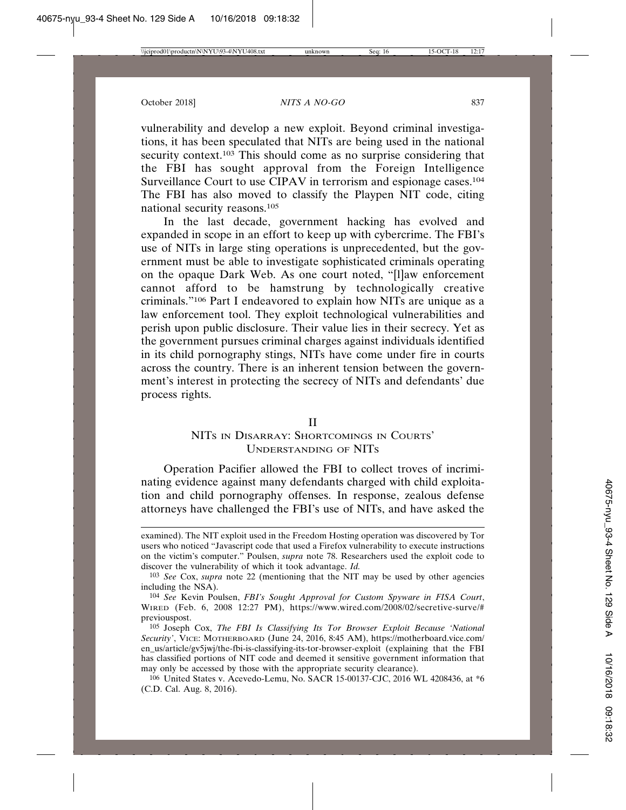vulnerability and develop a new exploit. Beyond criminal investigations, it has been speculated that NITs are being used in the national security context.<sup>103</sup> This should come as no surprise considering that the FBI has sought approval from the Foreign Intelligence Surveillance Court to use CIPAV in terrorism and espionage cases.<sup>104</sup> The FBI has also moved to classify the Playpen NIT code, citing national security reasons.105

In the last decade, government hacking has evolved and expanded in scope in an effort to keep up with cybercrime. The FBI's use of NITs in large sting operations is unprecedented, but the government must be able to investigate sophisticated criminals operating on the opaque Dark Web. As one court noted, "[l]aw enforcement cannot afford to be hamstrung by technologically creative criminals."106 Part I endeavored to explain how NITs are unique as a law enforcement tool. They exploit technological vulnerabilities and perish upon public disclosure. Their value lies in their secrecy. Yet as the government pursues criminal charges against individuals identified in its child pornography stings, NITs have come under fire in courts across the country. There is an inherent tension between the government's interest in protecting the secrecy of NITs and defendants' due process rights.

#### II

# NITS IN DISARRAY: SHORTCOMINGS IN COURTS' UNDERSTANDING OF NITS

Operation Pacifier allowed the FBI to collect troves of incriminating evidence against many defendants charged with child exploitation and child pornography offenses. In response, zealous defense attorneys have challenged the FBI's use of NITs, and have asked the

examined). The NIT exploit used in the Freedom Hosting operation was discovered by Tor users who noticed "Javascript code that used a Firefox vulnerability to execute instructions on the victim's computer." Poulsen, *supra* note 78. Researchers used the exploit code to discover the vulnerability of which it took advantage. *Id.*

<sup>103</sup> *See* Cox, *supra* note 22 (mentioning that the NIT may be used by other agencies including the NSA).

<sup>104</sup> *See* Kevin Poulsen, *FBI's Sought Approval for Custom Spyware in FISA Court*, WIRED (Feb. 6, 2008 12:27 PM), https://www.wired.com/2008/02/secretive-surve/# previouspost.

<sup>105</sup> Joseph Cox, *The FBI Is Classifying Its Tor Browser Exploit Because 'National Security'*, VICE: MOTHERBOARD (June 24, 2016, 8:45 AM), https://motherboard.vice.com/ en\_us/article/gv5jwj/the-fbi-is-classifying-its-tor-browser-exploit (explaining that the FBI has classified portions of NIT code and deemed it sensitive government information that may only be accessed by those with the appropriate security clearance).

<sup>106</sup> United States v. Acevedo-Lemu, No. SACR 15-00137-CJC, 2016 WL 4208436, at \*6 (C.D. Cal. Aug. 8, 2016).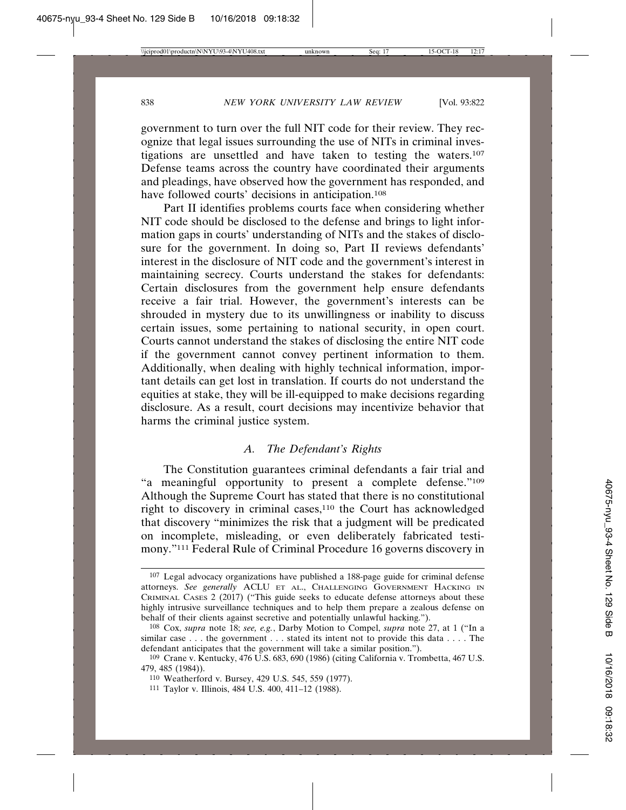government to turn over the full NIT code for their review. They recognize that legal issues surrounding the use of NITs in criminal investigations are unsettled and have taken to testing the waters.107 Defense teams across the country have coordinated their arguments and pleadings, have observed how the government has responded, and have followed courts' decisions in anticipation.<sup>108</sup>

Part II identifies problems courts face when considering whether NIT code should be disclosed to the defense and brings to light information gaps in courts' understanding of NITs and the stakes of disclosure for the government. In doing so, Part II reviews defendants' interest in the disclosure of NIT code and the government's interest in maintaining secrecy. Courts understand the stakes for defendants: Certain disclosures from the government help ensure defendants receive a fair trial. However, the government's interests can be shrouded in mystery due to its unwillingness or inability to discuss certain issues, some pertaining to national security, in open court. Courts cannot understand the stakes of disclosing the entire NIT code if the government cannot convey pertinent information to them. Additionally, when dealing with highly technical information, important details can get lost in translation. If courts do not understand the equities at stake, they will be ill-equipped to make decisions regarding disclosure. As a result, court decisions may incentivize behavior that harms the criminal justice system.

## *A. The Defendant's Rights*

The Constitution guarantees criminal defendants a fair trial and "a meaningful opportunity to present a complete defense."109 Although the Supreme Court has stated that there is no constitutional right to discovery in criminal cases,<sup>110</sup> the Court has acknowledged that discovery "minimizes the risk that a judgment will be predicated on incomplete, misleading, or even deliberately fabricated testimony."111 Federal Rule of Criminal Procedure 16 governs discovery in

<sup>107</sup> Legal advocacy organizations have published a 188-page guide for criminal defense attorneys. *See generally* ACLU ET AL., CHALLENGING GOVERNMENT HACKING IN CRIMINAL CASES 2 (2017) ("This guide seeks to educate defense attorneys about these highly intrusive surveillance techniques and to help them prepare a zealous defense on behalf of their clients against secretive and potentially unlawful hacking.").

<sup>108</sup> Cox, *supra* note 18; *see, e.g.*, Darby Motion to Compel, *supra* note 27, at 1 ("In a similar case . . . the government . . . stated its intent not to provide this data . . . . The defendant anticipates that the government will take a similar position.").

<sup>109</sup> Crane v. Kentucky, 476 U.S. 683, 690 (1986) (citing California v. Trombetta, 467 U.S. 479, 485 (1984)).

<sup>110</sup> Weatherford v. Bursey, 429 U.S. 545, 559 (1977).

<sup>111</sup> Taylor v. Illinois, 484 U.S. 400, 411–12 (1988).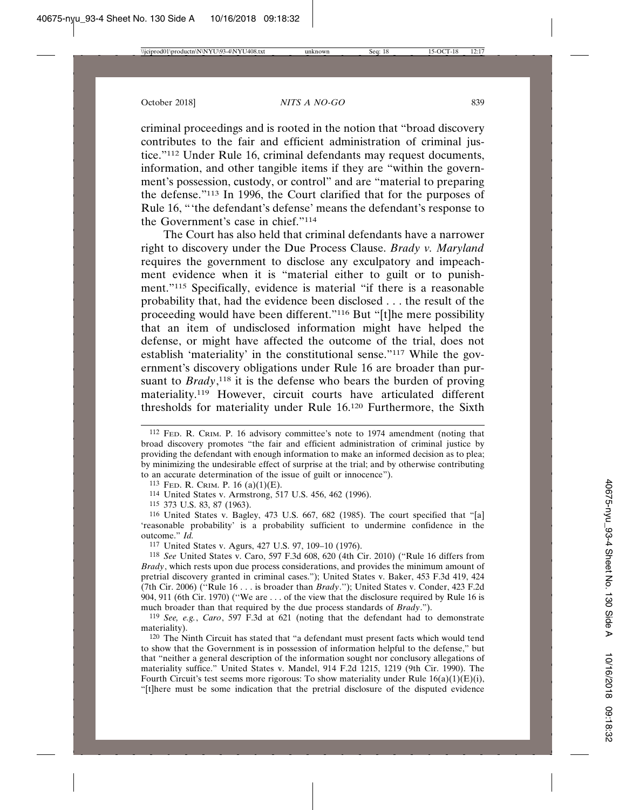criminal proceedings and is rooted in the notion that "broad discovery contributes to the fair and efficient administration of criminal justice."112 Under Rule 16, criminal defendants may request documents, information, and other tangible items if they are "within the government's possession, custody, or control" and are "material to preparing the defense."113 In 1996, the Court clarified that for the purposes of Rule 16, "'the defendant's defense' means the defendant's response to the Government's case in chief."114

The Court has also held that criminal defendants have a narrower right to discovery under the Due Process Clause. *Brady v. Maryland* requires the government to disclose any exculpatory and impeachment evidence when it is "material either to guilt or to punishment."115 Specifically, evidence is material "if there is a reasonable probability that, had the evidence been disclosed . . . the result of the proceeding would have been different."116 But "[t]he mere possibility that an item of undisclosed information might have helped the defense, or might have affected the outcome of the trial, does not establish 'materiality' in the constitutional sense."117 While the government's discovery obligations under Rule 16 are broader than pursuant to *Brady*,<sup>118</sup> it is the defense who bears the burden of proving materiality.119 However, circuit courts have articulated different thresholds for materiality under Rule 16.120 Furthermore, the Sixth

113 FED. R. CRIM. P. 16 (a)(1)(E).

114 United States v. Armstrong, 517 U.S. 456, 462 (1996).

115 373 U.S. 83, 87 (1963).

116 United States v. Bagley, 473 U.S. 667, 682 (1985). The court specified that "[a] 'reasonable probability' is a probability sufficient to undermine confidence in the outcome." *Id.*

117 United States v. Agurs, 427 U.S. 97, 109–10 (1976).

118 *See* United States v. Caro, 597 F.3d 608, 620 (4th Cir. 2010) ("Rule 16 differs from *Brady*, which rests upon due process considerations, and provides the minimum amount of pretrial discovery granted in criminal cases."); United States v. Baker, 453 F.3d 419, 424 (7th Cir. 2006) (''Rule 16 . . . is broader than *Brady*.''); United States v. Conder, 423 F.2d 904, 911 (6th Cir. 1970) (''We are . . . of the view that the disclosure required by Rule 16 is much broader than that required by the due process standards of *Brady*.").

119 *See, e.g.*, *Caro*, 597 F.3d at 621 (noting that the defendant had to demonstrate materiality).

120 The Ninth Circuit has stated that "a defendant must present facts which would tend to show that the Government is in possession of information helpful to the defense," but that "neither a general description of the information sought nor conclusory allegations of materiality suffice." United States v. Mandel, 914 F.2d 1215, 1219 (9th Cir. 1990). The Fourth Circuit's test seems more rigorous: To show materiality under Rule  $16(a)(1)(E)(i)$ , "[t]here must be some indication that the pretrial disclosure of the disputed evidence

<sup>112</sup> FED. R. CRIM. P. 16 advisory committee's note to 1974 amendment (noting that broad discovery promotes "the fair and efficient administration of criminal justice by providing the defendant with enough information to make an informed decision as to plea; by minimizing the undesirable effect of surprise at the trial; and by otherwise contributing to an accurate determination of the issue of guilt or innocence").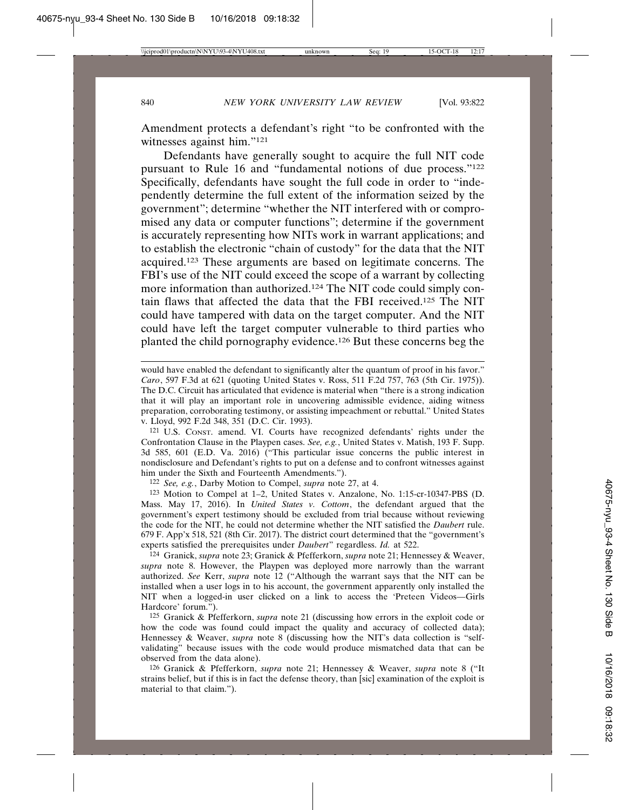Amendment protects a defendant's right "to be confronted with the witnesses against him."121

Defendants have generally sought to acquire the full NIT code pursuant to Rule 16 and "fundamental notions of due process."122 Specifically, defendants have sought the full code in order to "independently determine the full extent of the information seized by the government"; determine "whether the NIT interfered with or compromised any data or computer functions"; determine if the government is accurately representing how NITs work in warrant applications; and to establish the electronic "chain of custody" for the data that the NIT acquired.123 These arguments are based on legitimate concerns. The FBI's use of the NIT could exceed the scope of a warrant by collecting more information than authorized.124 The NIT code could simply contain flaws that affected the data that the FBI received.125 The NIT could have tampered with data on the target computer. And the NIT could have left the target computer vulnerable to third parties who planted the child pornography evidence.126 But these concerns beg the

121 U.S. CONST. amend. VI. Courts have recognized defendants' rights under the Confrontation Clause in the Playpen cases. *See, e.g.*, United States v. Matish, 193 F. Supp. 3d 585, 601 (E.D. Va. 2016) ("This particular issue concerns the public interest in nondisclosure and Defendant's rights to put on a defense and to confront witnesses against him under the Sixth and Fourteenth Amendments.").

122 *See, e.g.*, Darby Motion to Compel, *supra* note 27, at 4.

123 Motion to Compel at 1–2, United States v. Anzalone, No. 1:15-cr-10347-PBS (D. Mass. May 17, 2016). In *United States v. Cottom*, the defendant argued that the government's expert testimony should be excluded from trial because without reviewing the code for the NIT, he could not determine whether the NIT satisfied the *Daubert* rule. 679 F. App'x 518, 521 (8th Cir. 2017). The district court determined that the "government's experts satisfied the prerequisites under *Daubert*" regardless. *Id.* at 522.

124 Granick, *supra* note 23; Granick & Pfefferkorn, *supra* note 21; Hennessey & Weaver, *supra* note 8. However, the Playpen was deployed more narrowly than the warrant authorized. *See* Kerr, *supra* note 12 ("Although the warrant says that the NIT can be installed when a user logs in to his account, the government apparently only installed the NIT when a logged-in user clicked on a link to access the 'Preteen Videos—Girls Hardcore' forum.").

125 Granick & Pfefferkorn, *supra* note 21 (discussing how errors in the exploit code or how the code was found could impact the quality and accuracy of collected data); Hennessey & Weaver, *supra* note 8 (discussing how the NIT's data collection is "selfvalidating" because issues with the code would produce mismatched data that can be observed from the data alone).

126 Granick & Pfefferkorn, *supra* note 21; Hennessey & Weaver, *supra* note 8 ("It strains belief, but if this is in fact the defense theory, than [sic] examination of the exploit is material to that claim.").

would have enabled the defendant to significantly alter the quantum of proof in his favor." *Caro*, 597 F.3d at 621 (quoting United States v. Ross, 511 F.2d 757, 763 (5th Cir. 1975)). The D.C. Circuit has articulated that evidence is material when "there is a strong indication that it will play an important role in uncovering admissible evidence, aiding witness preparation, corroborating testimony, or assisting impeachment or rebuttal." United States v. Lloyd, 992 F.2d 348, 351 (D.C. Cir. 1993).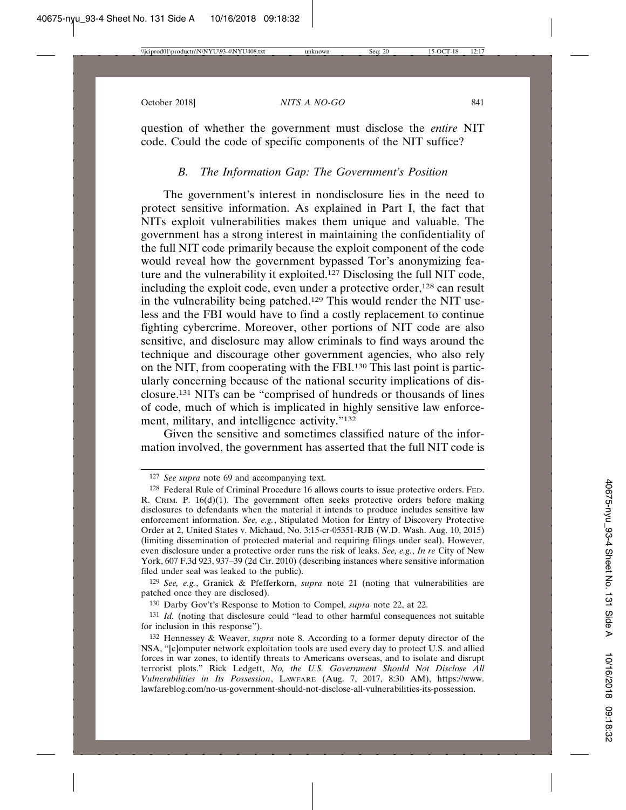question of whether the government must disclose the *entire* NIT code. Could the code of specific components of the NIT suffice?

### *B. The Information Gap: The Government's Position*

The government's interest in nondisclosure lies in the need to protect sensitive information. As explained in Part I, the fact that NITs exploit vulnerabilities makes them unique and valuable. The government has a strong interest in maintaining the confidentiality of the full NIT code primarily because the exploit component of the code would reveal how the government bypassed Tor's anonymizing feature and the vulnerability it exploited.127 Disclosing the full NIT code, including the exploit code, even under a protective order,<sup>128</sup> can result in the vulnerability being patched.129 This would render the NIT useless and the FBI would have to find a costly replacement to continue fighting cybercrime. Moreover, other portions of NIT code are also sensitive, and disclosure may allow criminals to find ways around the technique and discourage other government agencies, who also rely on the NIT, from cooperating with the FBI.130 This last point is particularly concerning because of the national security implications of disclosure.131 NITs can be "comprised of hundreds or thousands of lines of code, much of which is implicated in highly sensitive law enforcement, military, and intelligence activity."132

Given the sensitive and sometimes classified nature of the information involved, the government has asserted that the full NIT code is

<sup>127</sup> *See supra* note 69 and accompanying text.

<sup>128</sup> Federal Rule of Criminal Procedure 16 allows courts to issue protective orders. FED. R. CRIM. P. 16(d)(1). The government often seeks protective orders before making disclosures to defendants when the material it intends to produce includes sensitive law enforcement information. *See, e.g.*, Stipulated Motion for Entry of Discovery Protective Order at 2, United States v. Michaud, No. 3:15-cr-05351-RJB (W.D. Wash. Aug. 10, 2015) (limiting dissemination of protected material and requiring filings under seal). However, even disclosure under a protective order runs the risk of leaks. *See, e.g.*, *In re* City of New York, 607 F.3d 923, 937–39 (2d Cir. 2010) (describing instances where sensitive information filed under seal was leaked to the public).

<sup>129</sup> *See, e.g.*, Granick & Pfefferkorn, *supra* note 21 (noting that vulnerabilities are patched once they are disclosed).

<sup>130</sup> Darby Gov't's Response to Motion to Compel, *supra* note 22, at 22.

<sup>131</sup> *Id.* (noting that disclosure could "lead to other harmful consequences not suitable for inclusion in this response").

<sup>132</sup> Hennessey & Weaver, *supra* note 8. According to a former deputy director of the NSA, "[c]omputer network exploitation tools are used every day to protect U.S. and allied forces in war zones, to identify threats to Americans overseas, and to isolate and disrupt terrorist plots." Rick Ledgett, *No, the U.S. Government Should Not Disclose All Vulnerabilities in Its Possession*, LAWFARE (Aug. 7, 2017, 8:30 AM), https://www. lawfareblog.com/no-us-government-should-not-disclose-all-vulnerabilities-its-possession.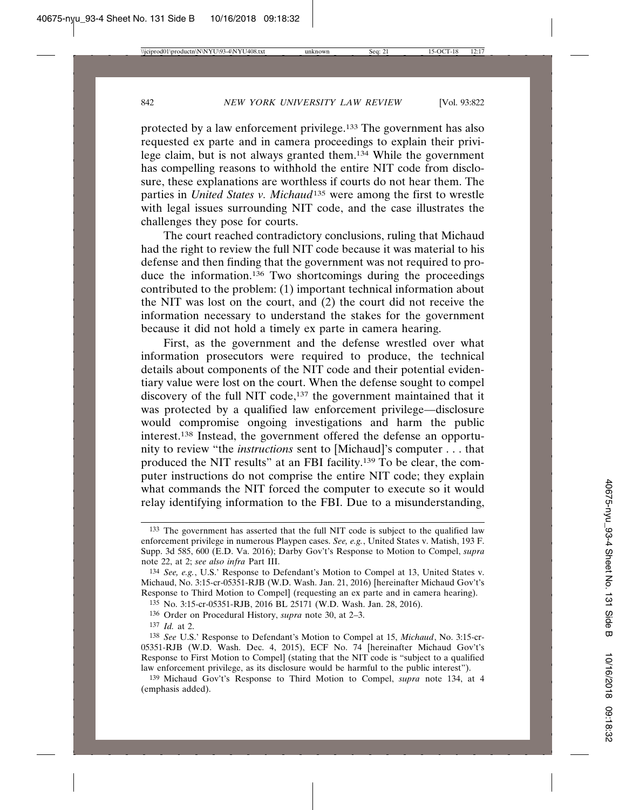protected by a law enforcement privilege.133 The government has also requested ex parte and in camera proceedings to explain their privilege claim, but is not always granted them.134 While the government has compelling reasons to withhold the entire NIT code from disclosure, these explanations are worthless if courts do not hear them. The parties in *United States v. Michaud*135 were among the first to wrestle with legal issues surrounding NIT code, and the case illustrates the challenges they pose for courts.

The court reached contradictory conclusions, ruling that Michaud had the right to review the full NIT code because it was material to his defense and then finding that the government was not required to produce the information.136 Two shortcomings during the proceedings contributed to the problem: (1) important technical information about the NIT was lost on the court, and (2) the court did not receive the information necessary to understand the stakes for the government because it did not hold a timely ex parte in camera hearing.

First, as the government and the defense wrestled over what information prosecutors were required to produce, the technical details about components of the NIT code and their potential evidentiary value were lost on the court. When the defense sought to compel discovery of the full NIT code,<sup>137</sup> the government maintained that it was protected by a qualified law enforcement privilege—disclosure would compromise ongoing investigations and harm the public interest.138 Instead, the government offered the defense an opportunity to review "the *instructions* sent to [Michaud]'s computer . . . that produced the NIT results" at an FBI facility.139 To be clear, the computer instructions do not comprise the entire NIT code; they explain what commands the NIT forced the computer to execute so it would relay identifying information to the FBI. Due to a misunderstanding,

135 No. 3:15-cr-05351-RJB, 2016 BL 25171 (W.D. Wash. Jan. 28, 2016).

<sup>133</sup> The government has asserted that the full NIT code is subject to the qualified law enforcement privilege in numerous Playpen cases. *See, e.g.*, United States v. Matish, 193 F. Supp. 3d 585, 600 (E.D. Va. 2016); Darby Gov't's Response to Motion to Compel, *supra* note 22, at 2; *see also infra* Part III.

<sup>134</sup> *See, e.g.*, U.S.' Response to Defendant's Motion to Compel at 13, United States v. Michaud, No. 3:15-cr-05351-RJB (W.D. Wash. Jan. 21, 2016) [hereinafter Michaud Gov't's Response to Third Motion to Compel] (requesting an ex parte and in camera hearing).

<sup>136</sup> Order on Procedural History, *supra* note 30, at 2–3.

<sup>137</sup> *Id.* at 2.

<sup>138</sup> *See* U.S.' Response to Defendant's Motion to Compel at 15, *Michaud*, No. 3:15-cr-05351-RJB (W.D. Wash. Dec. 4, 2015), ECF No. 74 [hereinafter Michaud Gov't's Response to First Motion to Compel] (stating that the NIT code is "subject to a qualified law enforcement privilege, as its disclosure would be harmful to the public interest").

<sup>139</sup> Michaud Gov't's Response to Third Motion to Compel, *supra* note 134, at 4 (emphasis added).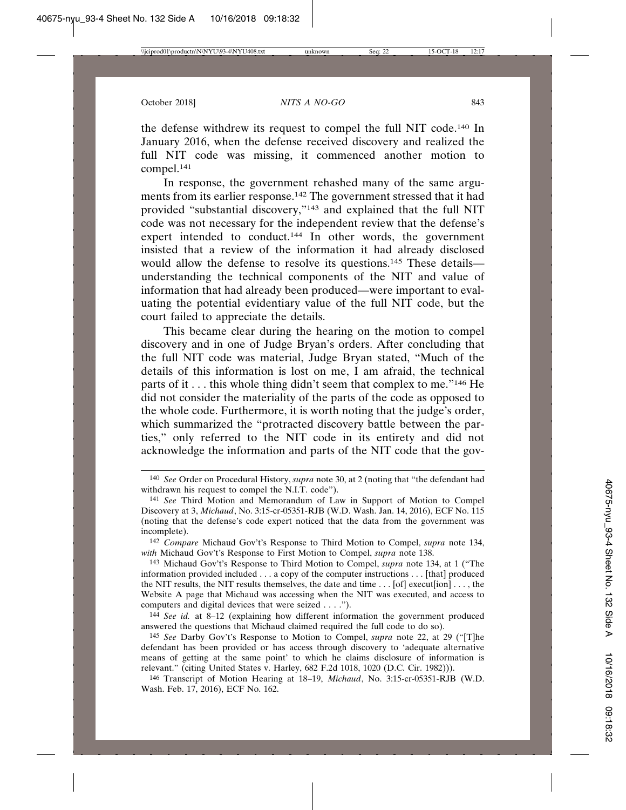the defense withdrew its request to compel the full NIT code.140 In January 2016, when the defense received discovery and realized the full NIT code was missing, it commenced another motion to compel.141

In response, the government rehashed many of the same arguments from its earlier response.142 The government stressed that it had provided "substantial discovery,"143 and explained that the full NIT code was not necessary for the independent review that the defense's expert intended to conduct.<sup>144</sup> In other words, the government insisted that a review of the information it had already disclosed would allow the defense to resolve its questions.<sup>145</sup> These details understanding the technical components of the NIT and value of information that had already been produced—were important to evaluating the potential evidentiary value of the full NIT code, but the court failed to appreciate the details.

This became clear during the hearing on the motion to compel discovery and in one of Judge Bryan's orders. After concluding that the full NIT code was material, Judge Bryan stated, "Much of the details of this information is lost on me, I am afraid, the technical parts of it . . . this whole thing didn't seem that complex to me."146 He did not consider the materiality of the parts of the code as opposed to the whole code. Furthermore, it is worth noting that the judge's order, which summarized the "protracted discovery battle between the parties," only referred to the NIT code in its entirety and did not acknowledge the information and parts of the NIT code that the gov-

142 *Compare* Michaud Gov't's Response to Third Motion to Compel, *supra* note 134, *with* Michaud Gov't's Response to First Motion to Compel, *supra* note 138.

143 Michaud Gov't's Response to Third Motion to Compel, *supra* note 134, at 1 ("The information provided included . . . a copy of the computer instructions . . . [that] produced the NIT results, the NIT results themselves, the date and time . . . [of] execut[ion] . . . , the Website A page that Michaud was accessing when the NIT was executed, and access to computers and digital devices that were seized . . . .").

144 *See id.* at 8–12 (explaining how different information the government produced answered the questions that Michaud claimed required the full code to do so).

145 *See* Darby Gov't's Response to Motion to Compel, *supra* note 22, at 29 ("[T]he defendant has been provided or has access through discovery to 'adequate alternative means of getting at the same point' to which he claims disclosure of information is relevant." (citing United States v. Harley, 682 F.2d 1018, 1020 (D.C. Cir. 1982))).

146 Transcript of Motion Hearing at 18–19, *Michaud*, No. 3:15-cr-05351-RJB (W.D. Wash. Feb. 17, 2016), ECF No. 162.

<sup>140</sup> *See* Order on Procedural History, *supra* note 30, at 2 (noting that "the defendant had withdrawn his request to compel the N.I.T. code").

<sup>141</sup> *See* Third Motion and Memorandum of Law in Support of Motion to Compel Discovery at 3, *Michaud*, No. 3:15-cr-05351-RJB (W.D. Wash. Jan. 14, 2016), ECF No. 115 (noting that the defense's code expert noticed that the data from the government was incomplete).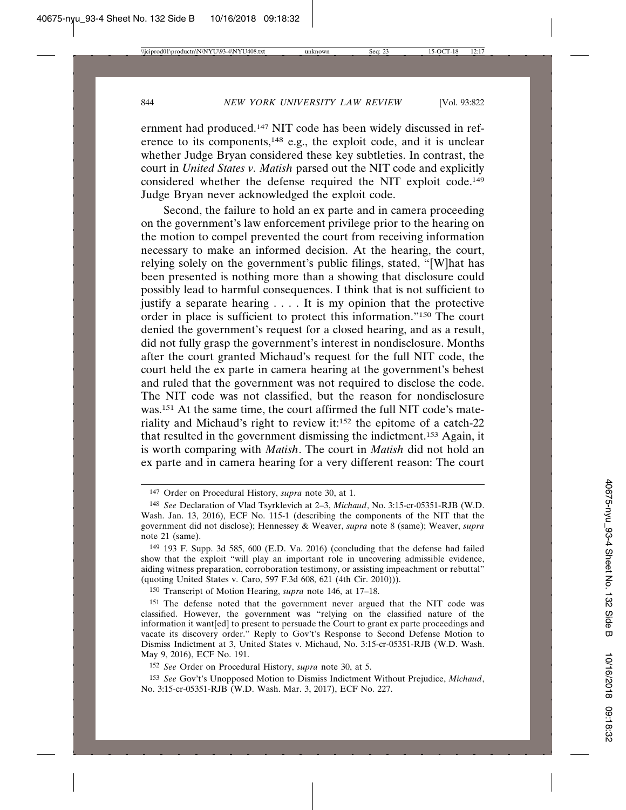ernment had produced.147 NIT code has been widely discussed in reference to its components,148 e.g., the exploit code, and it is unclear whether Judge Bryan considered these key subtleties. In contrast, the court in *United States v. Matish* parsed out the NIT code and explicitly considered whether the defense required the NIT exploit code.149 Judge Bryan never acknowledged the exploit code.

Second, the failure to hold an ex parte and in camera proceeding on the government's law enforcement privilege prior to the hearing on the motion to compel prevented the court from receiving information necessary to make an informed decision. At the hearing, the court, relying solely on the government's public filings, stated, "[W]hat has been presented is nothing more than a showing that disclosure could possibly lead to harmful consequences. I think that is not sufficient to justify a separate hearing . . . . It is my opinion that the protective order in place is sufficient to protect this information."150 The court denied the government's request for a closed hearing, and as a result, did not fully grasp the government's interest in nondisclosure. Months after the court granted Michaud's request for the full NIT code, the court held the ex parte in camera hearing at the government's behest and ruled that the government was not required to disclose the code. The NIT code was not classified, but the reason for nondisclosure was.151 At the same time, the court affirmed the full NIT code's materiality and Michaud's right to review it:152 the epitome of a catch-22 that resulted in the government dismissing the indictment.153 Again, it is worth comparing with *Matish*. The court in *Matish* did not hold an ex parte and in camera hearing for a very different reason: The court

150 Transcript of Motion Hearing, *supra* note 146, at 17–18.

<sup>147</sup> Order on Procedural History, *supra* note 30, at 1.

<sup>148</sup> *See* Declaration of Vlad Tsyrklevich at 2–3, *Michaud*, No. 3:15-cr-05351-RJB (W.D. Wash. Jan. 13, 2016), ECF No. 115-1 (describing the components of the NIT that the government did not disclose); Hennessey & Weaver, *supra* note 8 (same); Weaver, *supra* note 21 (same).

<sup>149</sup> 193 F. Supp. 3d 585, 600 (E.D. Va. 2016) (concluding that the defense had failed show that the exploit "will play an important role in uncovering admissible evidence, aiding witness preparation, corroboration testimony, or assisting impeachment or rebuttal" (quoting United States v. Caro, 597 F.3d 608, 621 (4th Cir. 2010))).

<sup>151</sup> The defense noted that the government never argued that the NIT code was classified. However, the government was "relying on the classified nature of the information it want[ed] to present to persuade the Court to grant ex parte proceedings and vacate its discovery order." Reply to Gov't's Response to Second Defense Motion to Dismiss Indictment at 3, United States v. Michaud, No. 3:15-cr-05351-RJB (W.D. Wash. May 9, 2016), ECF No. 191.

<sup>152</sup> *See* Order on Procedural History, *supra* note 30, at 5.

<sup>153</sup> *See* Gov't's Unopposed Motion to Dismiss Indictment Without Prejudice, *Michaud*, No. 3:15-cr-05351-RJB (W.D. Wash. Mar. 3, 2017), ECF No. 227.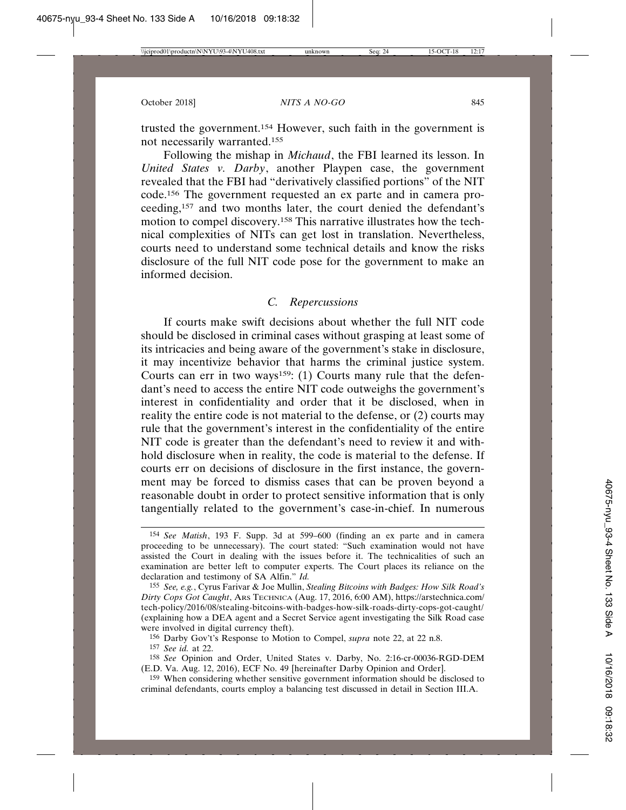trusted the government.154 However, such faith in the government is not necessarily warranted.155

Following the mishap in *Michaud*, the FBI learned its lesson. In *United States v. Darby*, another Playpen case, the government revealed that the FBI had "derivatively classified portions" of the NIT code.156 The government requested an ex parte and in camera proceeding,157 and two months later, the court denied the defendant's motion to compel discovery.158 This narrative illustrates how the technical complexities of NITs can get lost in translation. Nevertheless, courts need to understand some technical details and know the risks disclosure of the full NIT code pose for the government to make an informed decision.

#### *C. Repercussions*

If courts make swift decisions about whether the full NIT code should be disclosed in criminal cases without grasping at least some of its intricacies and being aware of the government's stake in disclosure, it may incentivize behavior that harms the criminal justice system. Courts can err in two ways<sup>159</sup>: (1) Courts many rule that the defendant's need to access the entire NIT code outweighs the government's interest in confidentiality and order that it be disclosed, when in reality the entire code is not material to the defense, or (2) courts may rule that the government's interest in the confidentiality of the entire NIT code is greater than the defendant's need to review it and withhold disclosure when in reality, the code is material to the defense. If courts err on decisions of disclosure in the first instance, the government may be forced to dismiss cases that can be proven beyond a reasonable doubt in order to protect sensitive information that is only tangentially related to the government's case-in-chief. In numerous

156 Darby Gov't's Response to Motion to Compel, *supra* note 22, at 22 n.8.

157 *See id.* at 22.

159 When considering whether sensitive government information should be disclosed to criminal defendants, courts employ a balancing test discussed in detail in Section III.A.

<sup>154</sup> *See Matish*, 193 F. Supp. 3d at 599–600 (finding an ex parte and in camera proceeding to be unnecessary). The court stated: "Such examination would not have assisted the Court in dealing with the issues before it. The technicalities of such an examination are better left to computer experts. The Court places its reliance on the declaration and testimony of SA Alfin." *Id.*

<sup>155</sup> *See, e.g.*, Cyrus Farivar & Joe Mullin, *Stealing Bitcoins with Badges: How Silk Road's Dirty Cops Got Caught*, ARS TECHNICA (Aug. 17, 2016, 6:00 AM), https://arstechnica.com/ tech-policy/2016/08/stealing-bitcoins-with-badges-how-silk-roads-dirty-cops-got-caught/ (explaining how a DEA agent and a Secret Service agent investigating the Silk Road case were involved in digital currency theft).

<sup>158</sup> *See* Opinion and Order, United States v. Darby, No. 2:16-cr-00036-RGD-DEM (E.D. Va. Aug. 12, 2016), ECF No. 49 [hereinafter Darby Opinion and Order].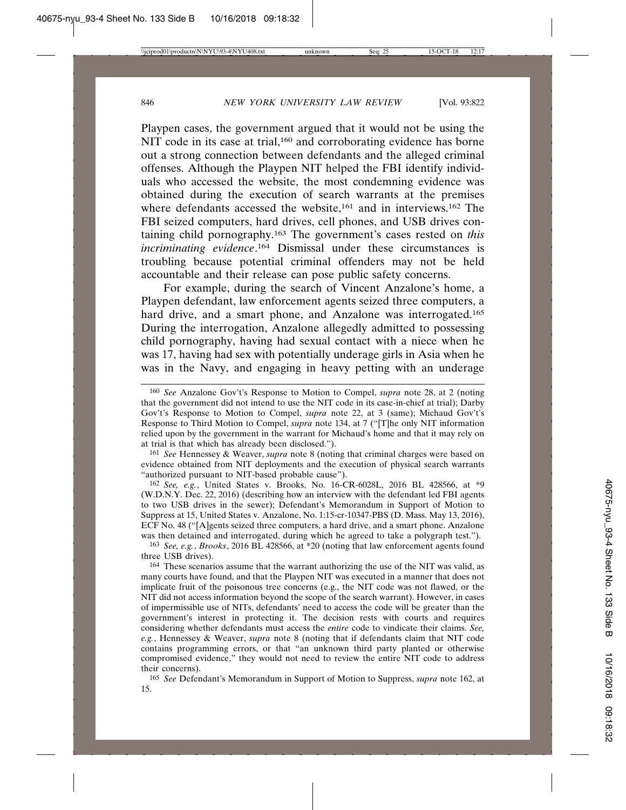Playpen cases, the government argued that it would not be using the NIT code in its case at trial,<sup>160</sup> and corroborating evidence has borne out a strong connection between defendants and the alleged criminal offenses. Although the Playpen NIT helped the FBI identify individuals who accessed the website, the most condemning evidence was obtained during the execution of search warrants at the premises where defendants accessed the website,<sup>161</sup> and in interviews.<sup>162</sup> The FBI seized computers, hard drives, cell phones, and USB drives containing child pornography.163 The government's cases rested on *this incriminating evidence*. 164 Dismissal under these circumstances is troubling because potential criminal offenders may not be held accountable and their release can pose public safety concerns.

For example, during the search of Vincent Anzalone's home, a Playpen defendant, law enforcement agents seized three computers, a hard drive, and a smart phone, and Anzalone was interrogated.<sup>165</sup> During the interrogation, Anzalone allegedly admitted to possessing child pornography, having had sexual contact with a niece when he was 17, having had sex with potentially underage girls in Asia when he was in the Navy, and engaging in heavy petting with an underage

161 *See* Hennessey & Weaver, *supra* note 8 (noting that criminal charges were based on evidence obtained from NIT deployments and the execution of physical search warrants "authorized pursuant to NIT-based probable cause").

162 *See, e.g.*, United States v. Brooks, No. 16-CR-6028L, 2016 BL 428566, at \*9 (W.D.N.Y. Dec. 22, 2016) (describing how an interview with the defendant led FBI agents to two USB drives in the sewer); Defendant's Memorandum in Support of Motion to Suppress at 15, United States v. Anzalone, No. 1:15-cr-10347-PBS (D. Mass. May 13, 2016), ECF No. 48 ("[A]gents seized three computers, a hard drive, and a smart phone. Anzalone was then detained and interrogated, during which he agreed to take a polygraph test.").

163 *See, e.g.*, *Brooks*, 2016 BL 428566, at \*20 (noting that law enforcement agents found three USB drives).

164 These scenarios assume that the warrant authorizing the use of the NIT was valid, as many courts have found, and that the Playpen NIT was executed in a manner that does not implicate fruit of the poisonous tree concerns (e.g., the NIT code was not flawed, or the NIT did not access information beyond the scope of the search warrant). However, in cases of impermissible use of NITs, defendants' need to access the code will be greater than the government's interest in protecting it. The decision rests with courts and requires considering whether defendants must access the *entire* code to vindicate their claims. *See, e.g.*, Hennessey & Weaver, *supra* note 8 (noting that if defendants claim that NIT code contains programming errors, or that "an unknown third party planted or otherwise compromised evidence," they would not need to review the entire NIT code to address their concerns).

165 *See* Defendant's Memorandum in Support of Motion to Suppress, *supra* note 162, at 15.

<sup>160</sup> *See* Anzalone Gov't's Response to Motion to Compel, *supra* note 28, at 2 (noting that the government did not intend to use the NIT code in its case-in-chief at trial); Darby Gov't's Response to Motion to Compel, *supra* note 22, at 3 (same); Michaud Gov't's Response to Third Motion to Compel, *supra* note 134, at 7 ("[T]he only NIT information relied upon by the government in the warrant for Michaud's home and that it may rely on at trial is that which has already been disclosed.").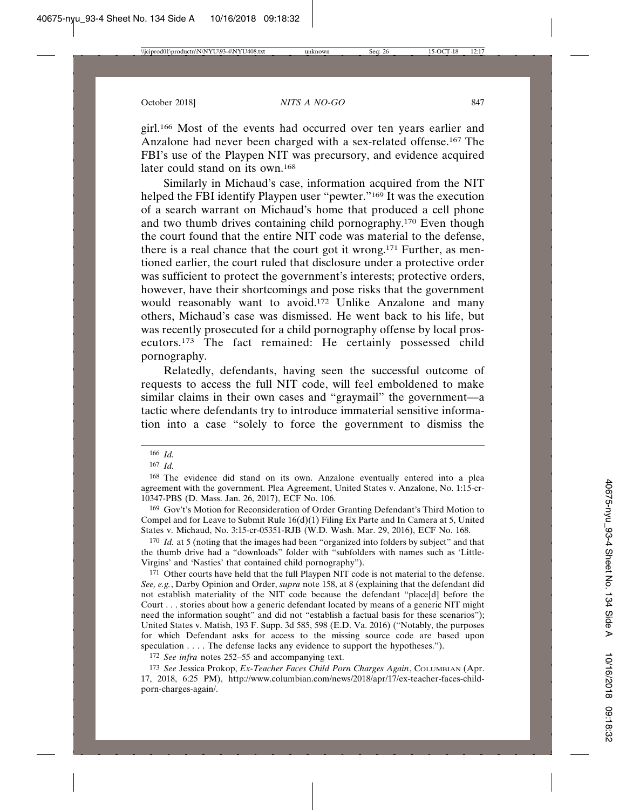girl.166 Most of the events had occurred over ten years earlier and Anzalone had never been charged with a sex-related offense.167 The FBI's use of the Playpen NIT was precursory, and evidence acquired later could stand on its own.168

Similarly in Michaud's case, information acquired from the NIT helped the FBI identify Playpen user "pewter."169 It was the execution of a search warrant on Michaud's home that produced a cell phone and two thumb drives containing child pornography.170 Even though the court found that the entire NIT code was material to the defense, there is a real chance that the court got it wrong.171 Further, as mentioned earlier, the court ruled that disclosure under a protective order was sufficient to protect the government's interests; protective orders, however, have their shortcomings and pose risks that the government would reasonably want to avoid.<sup>172</sup> Unlike Anzalone and many others, Michaud's case was dismissed. He went back to his life, but was recently prosecuted for a child pornography offense by local prosecutors.173 The fact remained: He certainly possessed child pornography.

Relatedly, defendants, having seen the successful outcome of requests to access the full NIT code, will feel emboldened to make similar claims in their own cases and "graymail" the government—a tactic where defendants try to introduce immaterial sensitive information into a case "solely to force the government to dismiss the

169 Gov't's Motion for Reconsideration of Order Granting Defendant's Third Motion to Compel and for Leave to Submit Rule 16(d)(1) Filing Ex Parte and In Camera at 5, United States v. Michaud, No. 3:15-cr-05351-RJB (W.D. Wash. Mar. 29, 2016), ECF No. 168.

170 *Id.* at 5 (noting that the images had been "organized into folders by subject" and that the thumb drive had a "downloads" folder with "subfolders with names such as 'Little-Virgins' and 'Nasties' that contained child pornography").

171 Other courts have held that the full Playpen NIT code is not material to the defense. *See, e.g.*, Darby Opinion and Order, *supra* note 158, at 8 (explaining that the defendant did not establish materiality of the NIT code because the defendant "place[d] before the Court . . . stories about how a generic defendant located by means of a generic NIT might need the information sought" and did not "establish a factual basis for these scenarios"); United States v. Matish, 193 F. Supp. 3d 585, 598 (E.D. Va. 2016) ("Notably, the purposes for which Defendant asks for access to the missing source code are based upon speculation . . . . The defense lacks any evidence to support the hypotheses.").

172 *See infra* notes 252–55 and accompanying text.

173 *See* Jessica Prokop, *Ex-Teacher Faces Child Porn Charges Again*, COLUMBIAN (Apr. 17, 2018, 6:25 PM), http://www.columbian.com/news/2018/apr/17/ex-teacher-faces-childporn-charges-again/.

<sup>166</sup> *Id.*

<sup>167</sup> *Id.*

<sup>168</sup> The evidence did stand on its own. Anzalone eventually entered into a plea agreement with the government. Plea Agreement, United States v. Anzalone, No. 1:15-cr-10347-PBS (D. Mass. Jan. 26, 2017), ECF No. 106.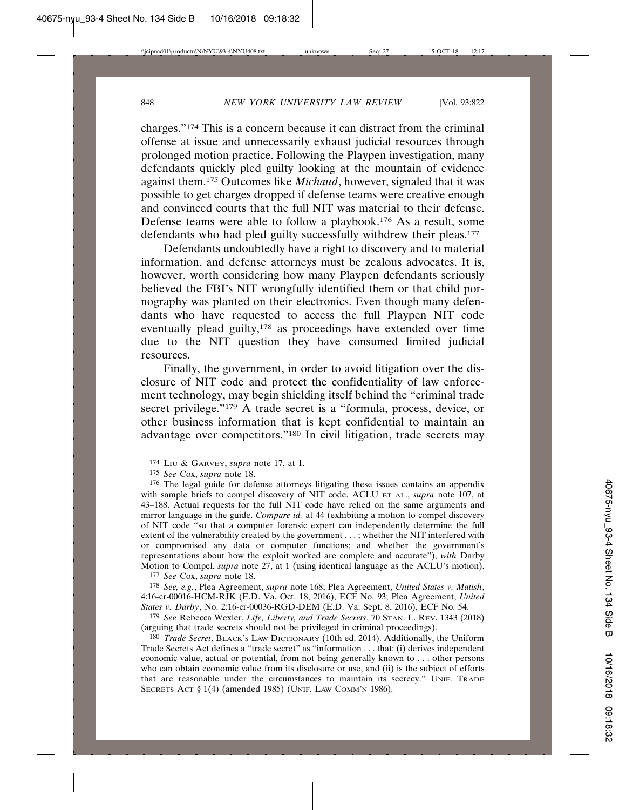charges."174 This is a concern because it can distract from the criminal offense at issue and unnecessarily exhaust judicial resources through prolonged motion practice. Following the Playpen investigation, many defendants quickly pled guilty looking at the mountain of evidence against them.175 Outcomes like *Michaud*, however, signaled that it was possible to get charges dropped if defense teams were creative enough and convinced courts that the full NIT was material to their defense. Defense teams were able to follow a playbook.176 As a result, some defendants who had pled guilty successfully withdrew their pleas.177

Defendants undoubtedly have a right to discovery and to material information, and defense attorneys must be zealous advocates. It is, however, worth considering how many Playpen defendants seriously believed the FBI's NIT wrongfully identified them or that child pornography was planted on their electronics. Even though many defendants who have requested to access the full Playpen NIT code eventually plead guilty,<sup>178</sup> as proceedings have extended over time due to the NIT question they have consumed limited judicial resources.

Finally, the government, in order to avoid litigation over the disclosure of NIT code and protect the confidentiality of law enforcement technology, may begin shielding itself behind the "criminal trade secret privilege."<sup>179</sup> A trade secret is a "formula, process, device, or other business information that is kept confidential to maintain an advantage over competitors."180 In civil litigation, trade secrets may

177 *See* Cox, *supra* note 18.

178 *See, e.g.*, Plea Agreement, *supra* note 168; Plea Agreement, *United States v. Matish*, 4:16-cr-00016-HCM-RJK (E.D. Va. Oct. 18, 2016), ECF No. 93; Plea Agreement, *United States v. Darby*, No. 2:16-cr-00036-RGD-DEM (E.D. Va. Sept. 8, 2016), ECF No. 54.

179 *See* Rebecca Wexler, *Life, Liberty, and Trade Secrets*, 70 STAN. L. REV. 1343 (2018) (arguing that trade secrets should not be privileged in criminal proceedings).

180 *Trade Secret*, BLACK'S LAW DICTIONARY (10th ed. 2014). Additionally, the Uniform Trade Secrets Act defines a "trade secret" as "information . . . that: (i) derives independent economic value, actual or potential, from not being generally known to . . . other persons who can obtain economic value from its disclosure or use, and (ii) is the subject of efforts that are reasonable under the circumstances to maintain its secrecy." UNIF. TRADE SECRETS ACT § 1(4) (amended 1985) (UNIF. LAW COMM'N 1986).

<sup>174</sup> LIU & GARVEY, *supra* note 17, at 1.

<sup>175</sup> *See* Cox, *supra* note 18.

<sup>176</sup> The legal guide for defense attorneys litigating these issues contains an appendix with sample briefs to compel discovery of NIT code. ACLU ET AL., *supra* note 107, at 43–188. Actual requests for the full NIT code have relied on the same arguments and mirror language in the guide. *Compare id.* at 44 (exhibiting a motion to compel discovery of NIT code "so that a computer forensic expert can independently determine the full extent of the vulnerability created by the government . . . ; whether the NIT interfered with or compromised any data or computer functions; and whether the government's representations about how the exploit worked are complete and accurate"), *with* Darby Motion to Compel, *supra* note 27, at 1 (using identical language as the ACLU's motion).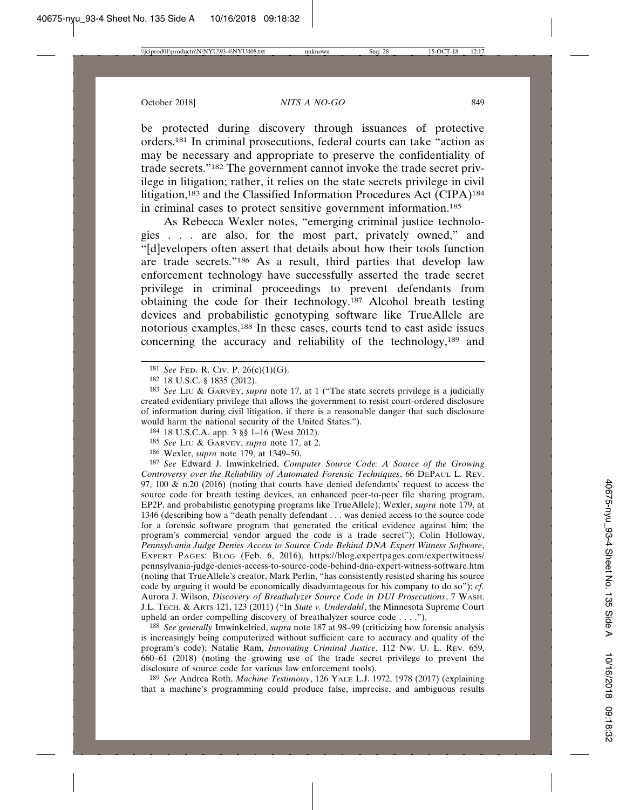be protected during discovery through issuances of protective orders.181 In criminal prosecutions, federal courts can take "action as may be necessary and appropriate to preserve the confidentiality of trade secrets."182 The government cannot invoke the trade secret privilege in litigation; rather, it relies on the state secrets privilege in civil litigation,<sup>183</sup> and the Classified Information Procedures Act (CIPA)<sup>184</sup> in criminal cases to protect sensitive government information.185

As Rebecca Wexler notes, "emerging criminal justice technologies . . . are also, for the most part, privately owned," and "[d]evelopers often assert that details about how their tools function are trade secrets."186 As a result, third parties that develop law enforcement technology have successfully asserted the trade secret privilege in criminal proceedings to prevent defendants from obtaining the code for their technology.187 Alcohol breath testing devices and probabilistic genotyping software like TrueAllele are notorious examples.188 In these cases, courts tend to cast aside issues concerning the accuracy and reliability of the technology,189 and

- 184 18 U.S.C.A. app. 3 §§ 1–16 (West 2012).
- 185 *See* LIU & GARVEY, *supra* note 17, at 2.
- 186 Wexler, *supra* note 179, at 1349–50.

187 *See* Edward J. Imwinkelried, *Computer Source Code: A Source of the Growing Controversy over the Reliability of Automated Forensic Techniques*, 66 DEPAUL L. REV. 97, 100  $\&$  n.20 (2016) (noting that courts have denied defendants' request to access the source code for breath testing devices, an enhanced peer-to-peer file sharing program, EP2P, and probabilistic genotyping programs like TrueAllele); Wexler, *supra* note 179, at 1346 (describing how a "death penalty defendant . . . was denied access to the source code for a forensic software program that generated the critical evidence against him; the program's commercial vendor argued the code is a trade secret"); Colin Holloway, *Pennsylvania Judge Denies Access to Source Code Behind DNA Expert Witness Software*, EXPERT PAGES: BLOG (Feb. 6, 2016), https://blog.expertpages.com/expertwitness/ pennsylvania-judge-denies-access-to-source-code-behind-dna-expert-witness-software.htm (noting that TrueAllele's creator, Mark Perlin, "has consistently resisted sharing his source code by arguing it would be economically disadvantageous for his company to do so"); *cf.* Aurora J. Wilson, *Discovery of Breathalyzer Source Code in DUI Prosecutions*, 7 WASH. J.L. TECH. & ARTS 121, 123 (2011) ("In *State v. Underdahl*, the Minnesota Supreme Court upheld an order compelling discovery of breathalyzer source code . . . .").

188 *See generally* Imwinkelried, *supra* note 187 at 98–99 (criticizing how forensic analysis is increasingly being computerized without sufficient care to accuracy and quality of the program's code); Natalie Ram, *Innovating Criminal Justice*, 112 NW. U. L. REV. 659, 660–61 (2018) (noting the growing use of the trade secret privilege to prevent the disclosure of source code for various law enforcement tools).

189 *See* Andrea Roth, *Machine Testimony*, 126 YALE L.J. 1972, 1978 (2017) (explaining that a machine's programming could produce false, imprecise, and ambiguous results

<sup>181</sup> *See* FED. R. CIV. P. 26(c)(1)(G).

<sup>182</sup> 18 U.S.C. § 1835 (2012).

<sup>183</sup> *See* LIU & GARVEY, *supra* note 17, at 1 ("The state secrets privilege is a judicially created evidentiary privilege that allows the government to resist court-ordered disclosure of information during civil litigation, if there is a reasonable danger that such disclosure would harm the national security of the United States.").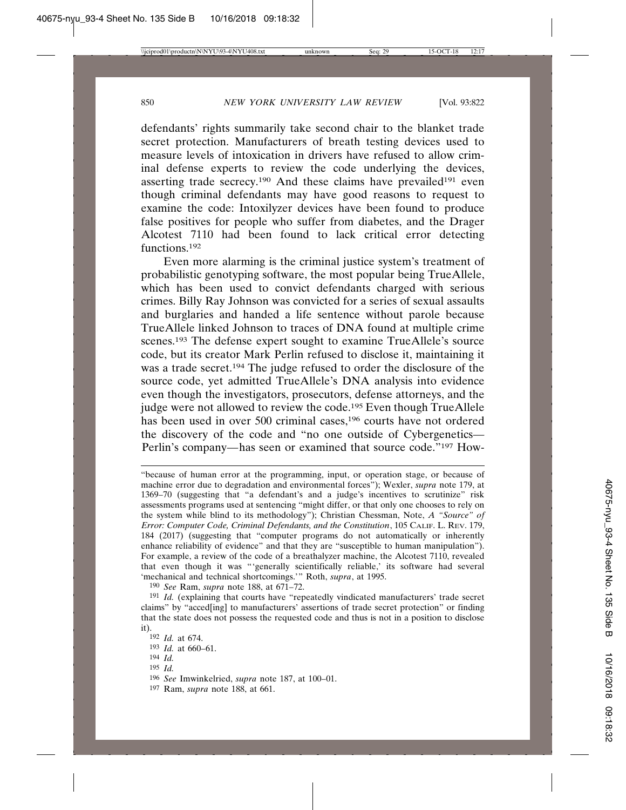defendants' rights summarily take second chair to the blanket trade secret protection. Manufacturers of breath testing devices used to measure levels of intoxication in drivers have refused to allow criminal defense experts to review the code underlying the devices, asserting trade secrecy.<sup>190</sup> And these claims have prevailed<sup>191</sup> even though criminal defendants may have good reasons to request to examine the code: Intoxilyzer devices have been found to produce false positives for people who suffer from diabetes, and the Drager Alcotest 7110 had been found to lack critical error detecting functions.192

Even more alarming is the criminal justice system's treatment of probabilistic genotyping software, the most popular being TrueAllele, which has been used to convict defendants charged with serious crimes. Billy Ray Johnson was convicted for a series of sexual assaults and burglaries and handed a life sentence without parole because TrueAllele linked Johnson to traces of DNA found at multiple crime scenes.<sup>193</sup> The defense expert sought to examine TrueAllele's source code, but its creator Mark Perlin refused to disclose it, maintaining it was a trade secret.194 The judge refused to order the disclosure of the source code, yet admitted TrueAllele's DNA analysis into evidence even though the investigators, prosecutors, defense attorneys, and the judge were not allowed to review the code.<sup>195</sup> Even though TrueAllele has been used in over 500 criminal cases,<sup>196</sup> courts have not ordered the discovery of the code and "no one outside of Cybergenetics*—* Perlin's company*—*has seen or examined that source code."197 How-

190 *See* Ram, *supra* note 188, at 671–72.

- 194 *Id.*
- 195 *Id.*

197 Ram, *supra* note 188, at 661.

<sup>&</sup>quot;because of human error at the programming, input, or operation stage, or because of machine error due to degradation and environmental forces"); Wexler, *supra* note 179, at 1369–70 (suggesting that "a defendant's and a judge's incentives to scrutinize" risk assessments programs used at sentencing "might differ, or that only one chooses to rely on the system while blind to its methodology"); Christian Chessman, Note, *A "Source" of Error: Computer Code, Criminal Defendants, and the Constitution*, 105 CALIF. L. REV. 179, 184 (2017) (suggesting that "computer programs do not automatically or inherently enhance reliability of evidence" and that they are "susceptible to human manipulation"). For example, a review of the code of a breathalyzer machine, the Alcotest 7110, revealed that even though it was "'generally scientifically reliable,' its software had several 'mechanical and technical shortcomings.'" Roth, *supra*, at 1995.

<sup>191</sup> *Id.* (explaining that courts have "repeatedly vindicated manufacturers' trade secret claims" by "acced[ing] to manufacturers' assertions of trade secret protection" or finding that the state does not possess the requested code and thus is not in a position to disclose it).

<sup>192</sup> *Id.* at 674.

<sup>193</sup> *Id.* at 660–61.

<sup>196</sup> *See* Imwinkelried, *supra* note 187, at 100–01.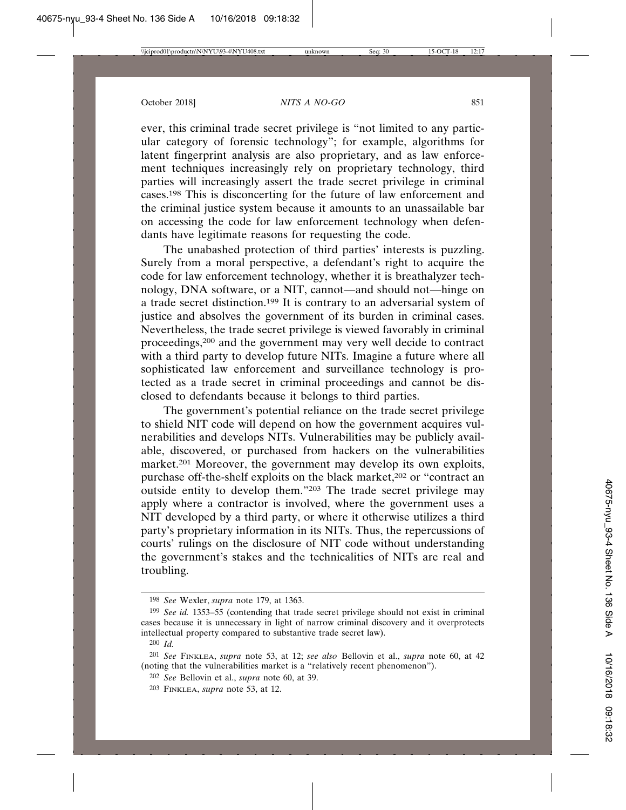ever, this criminal trade secret privilege is "not limited to any particular category of forensic technology"; for example, algorithms for latent fingerprint analysis are also proprietary, and as law enforcement techniques increasingly rely on proprietary technology, third parties will increasingly assert the trade secret privilege in criminal cases.198 This is disconcerting for the future of law enforcement and the criminal justice system because it amounts to an unassailable bar on accessing the code for law enforcement technology when defendants have legitimate reasons for requesting the code.

The unabashed protection of third parties' interests is puzzling. Surely from a moral perspective, a defendant's right to acquire the code for law enforcement technology, whether it is breathalyzer technology, DNA software, or a NIT, cannot—and should not—hinge on a trade secret distinction.199 It is contrary to an adversarial system of justice and absolves the government of its burden in criminal cases. Nevertheless, the trade secret privilege is viewed favorably in criminal proceedings,200 and the government may very well decide to contract with a third party to develop future NITs. Imagine a future where all sophisticated law enforcement and surveillance technology is protected as a trade secret in criminal proceedings and cannot be disclosed to defendants because it belongs to third parties.

The government's potential reliance on the trade secret privilege to shield NIT code will depend on how the government acquires vulnerabilities and develops NITs. Vulnerabilities may be publicly available, discovered, or purchased from hackers on the vulnerabilities market.201 Moreover, the government may develop its own exploits, purchase off-the-shelf exploits on the black market,<sup>202</sup> or "contract an outside entity to develop them."203 The trade secret privilege may apply where a contractor is involved, where the government uses a NIT developed by a third party, or where it otherwise utilizes a third party's proprietary information in its NITs. Thus, the repercussions of courts' rulings on the disclosure of NIT code without understanding the government's stakes and the technicalities of NITs are real and troubling.

<sup>198</sup> *See* Wexler, *supra* note 179, at 1363.

<sup>199</sup> *See id.* 1353–55 (contending that trade secret privilege should not exist in criminal cases because it is unnecessary in light of narrow criminal discovery and it overprotects intellectual property compared to substantive trade secret law).

<sup>200</sup> *Id.*

<sup>201</sup> *See* FINKLEA, *supra* note 53, at 12; *see also* Bellovin et al., *supra* note 60, at 42 (noting that the vulnerabilities market is a "relatively recent phenomenon").

<sup>202</sup> *See* Bellovin et al., *supra* note 60, at 39.

<sup>203</sup> FINKLEA, *supra* note 53, at 12.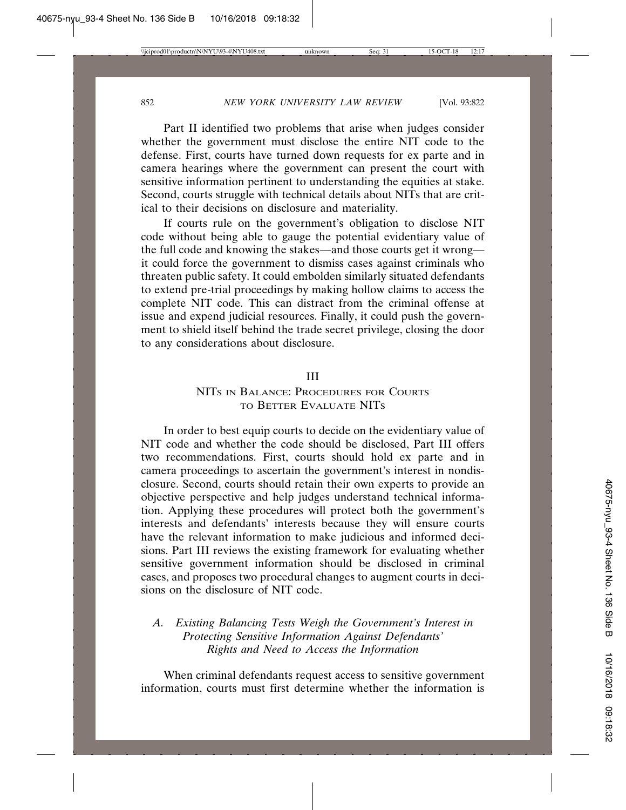Part II identified two problems that arise when judges consider whether the government must disclose the entire NIT code to the defense. First, courts have turned down requests for ex parte and in camera hearings where the government can present the court with sensitive information pertinent to understanding the equities at stake. Second, courts struggle with technical details about NITs that are critical to their decisions on disclosure and materiality.

If courts rule on the government's obligation to disclose NIT code without being able to gauge the potential evidentiary value of the full code and knowing the stakes—and those courts get it wrong it could force the government to dismiss cases against criminals who threaten public safety. It could embolden similarly situated defendants to extend pre-trial proceedings by making hollow claims to access the complete NIT code. This can distract from the criminal offense at issue and expend judicial resources. Finally, it could push the government to shield itself behind the trade secret privilege, closing the door to any considerations about disclosure.

#### III

## NITS IN BALANCE: PROCEDURES FOR COURTS TO BETTER EVALUATE NITS

In order to best equip courts to decide on the evidentiary value of NIT code and whether the code should be disclosed, Part III offers two recommendations. First, courts should hold ex parte and in camera proceedings to ascertain the government's interest in nondisclosure. Second, courts should retain their own experts to provide an objective perspective and help judges understand technical information. Applying these procedures will protect both the government's interests and defendants' interests because they will ensure courts have the relevant information to make judicious and informed decisions. Part III reviews the existing framework for evaluating whether sensitive government information should be disclosed in criminal cases, and proposes two procedural changes to augment courts in decisions on the disclosure of NIT code.

# *A. Existing Balancing Tests Weigh the Government's Interest in Protecting Sensitive Information Against Defendants' Rights and Need to Access the Information*

When criminal defendants request access to sensitive government information, courts must first determine whether the information is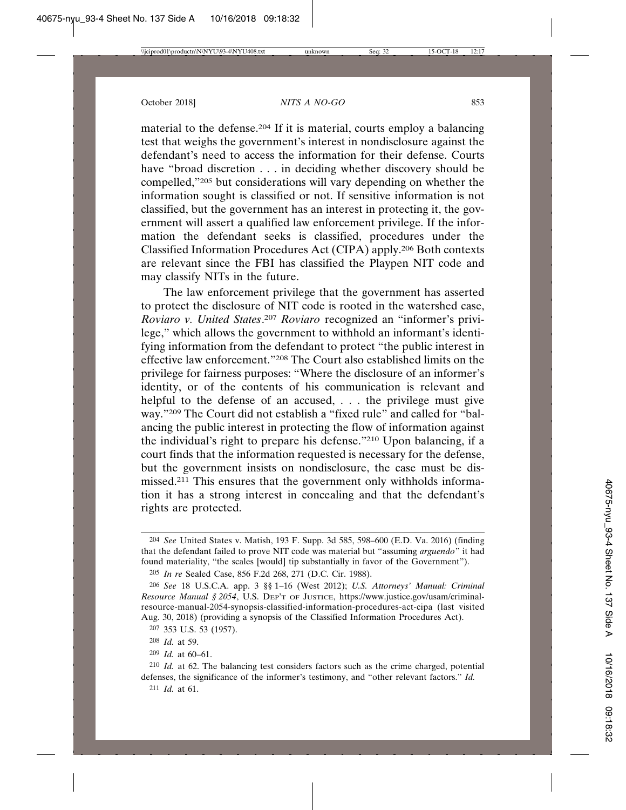material to the defense.204 If it is material, courts employ a balancing test that weighs the government's interest in nondisclosure against the defendant's need to access the information for their defense. Courts have "broad discretion . . . in deciding whether discovery should be compelled,"205 but considerations will vary depending on whether the information sought is classified or not. If sensitive information is not classified, but the government has an interest in protecting it, the government will assert a qualified law enforcement privilege. If the information the defendant seeks is classified, procedures under the Classified Information Procedures Act (CIPA) apply.206 Both contexts are relevant since the FBI has classified the Playpen NIT code and may classify NITs in the future.

The law enforcement privilege that the government has asserted to protect the disclosure of NIT code is rooted in the watershed case, *Roviaro v. United States*. <sup>207</sup> *Roviaro* recognized an "informer's privilege," which allows the government to withhold an informant's identifying information from the defendant to protect "the public interest in effective law enforcement."208 The Court also established limits on the privilege for fairness purposes: "Where the disclosure of an informer's identity, or of the contents of his communication is relevant and helpful to the defense of an accused, ... the privilege must give way."209 The Court did not establish a "fixed rule" and called for "balancing the public interest in protecting the flow of information against the individual's right to prepare his defense."210 Upon balancing, if a court finds that the information requested is necessary for the defense, but the government insists on nondisclosure, the case must be dismissed.211 This ensures that the government only withholds information it has a strong interest in concealing and that the defendant's rights are protected.

<sup>204</sup> *See* United States v. Matish, 193 F. Supp. 3d 585, 598–600 (E.D. Va. 2016) (finding that the defendant failed to prove NIT code was material but "assuming *arguendo*" it had found materiality, "the scales [would] tip substantially in favor of the Government").

<sup>205</sup> *In re* Sealed Case, 856 F.2d 268, 271 (D.C. Cir. 1988).

<sup>206</sup> *See* 18 U.S.C.A. app. 3 §§ 1–16 (West 2012); *U.S. Attorneys' Manual: Criminal Resource Manual § 2054*, U.S. DEP'T OF JUSTICE, https://www.justice.gov/usam/criminalresource-manual-2054-synopsis-classified-information-procedures-act-cipa (last visited Aug. 30, 2018) (providing a synopsis of the Classified Information Procedures Act).

<sup>207</sup> 353 U.S. 53 (1957).

<sup>208</sup> *Id.* at 59.

<sup>209</sup> *Id.* at 60–61.

<sup>210</sup> *Id.* at 62. The balancing test considers factors such as the crime charged, potential defenses, the significance of the informer's testimony, and "other relevant factors." *Id.*

<sup>211</sup> *Id.* at 61.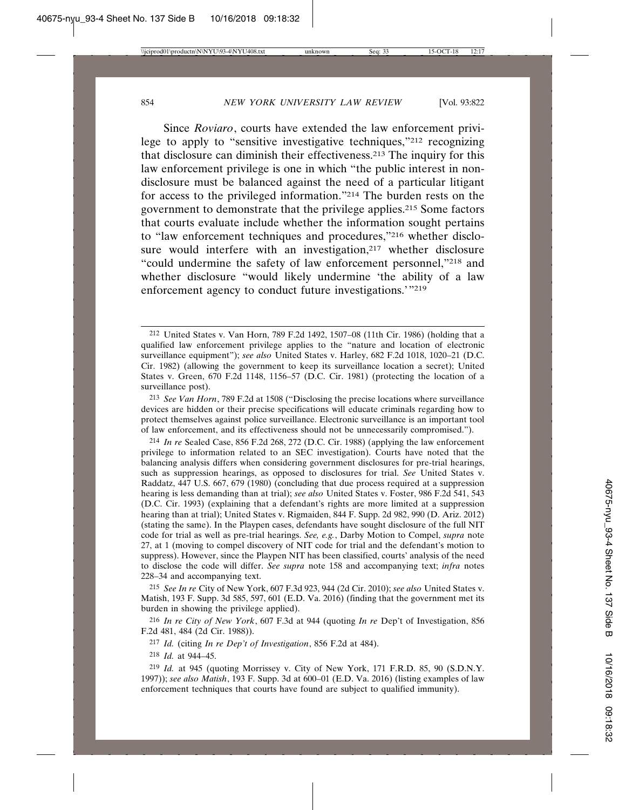Since *Roviaro*, courts have extended the law enforcement privilege to apply to "sensitive investigative techniques,"212 recognizing that disclosure can diminish their effectiveness.213 The inquiry for this law enforcement privilege is one in which "the public interest in nondisclosure must be balanced against the need of a particular litigant for access to the privileged information."214 The burden rests on the government to demonstrate that the privilege applies.215 Some factors that courts evaluate include whether the information sought pertains to "law enforcement techniques and procedures,"216 whether disclosure would interfere with an investigation,<sup>217</sup> whether disclosure "could undermine the safety of law enforcement personnel,"218 and whether disclosure "would likely undermine 'the ability of a law enforcement agency to conduct future investigations.<sup>'"219</sup>

214 *In re* Sealed Case, 856 F.2d 268, 272 (D.C. Cir. 1988) (applying the law enforcement privilege to information related to an SEC investigation). Courts have noted that the balancing analysis differs when considering government disclosures for pre-trial hearings, such as suppression hearings, as opposed to disclosures for trial. *See* United States v. Raddatz, 447 U.S. 667, 679 (1980) (concluding that due process required at a suppression hearing is less demanding than at trial); *see also* United States v. Foster, 986 F.2d 541, 543 (D.C. Cir. 1993) (explaining that a defendant's rights are more limited at a suppression hearing than at trial); United States v. Rigmaiden, 844 F. Supp. 2d 982, 990 (D. Ariz. 2012) (stating the same). In the Playpen cases, defendants have sought disclosure of the full NIT code for trial as well as pre-trial hearings. *See, e.g.*, Darby Motion to Compel, *supra* note 27, at 1 (moving to compel discovery of NIT code for trial and the defendant's motion to suppress). However, since the Playpen NIT has been classified, courts' analysis of the need to disclose the code will differ. *See supra* note 158 and accompanying text; *infra* notes 228–34 and accompanying text.

215 *See In re* City of New York, 607 F.3d 923, 944 (2d Cir. 2010); *see also* United States v. Matish, 193 F. Supp. 3d 585, 597, 601 (E.D. Va. 2016) (finding that the government met its burden in showing the privilege applied).

216 *In re City of New York*, 607 F.3d at 944 (quoting *In re* Dep't of Investigation, 856 F.2d 481, 484 (2d Cir. 1988)).

217 *Id.* (citing *In re Dep't of Investigation*, 856 F.2d at 484).

218 *Id.* at 944–45.

219 *Id.* at 945 (quoting Morrissey v. City of New York, 171 F.R.D. 85, 90 (S.D.N.Y. 1997)); *see also Matish*, 193 F. Supp. 3d at 600–01 (E.D. Va. 2016) (listing examples of law enforcement techniques that courts have found are subject to qualified immunity).

<sup>212</sup> United States v. Van Horn, 789 F.2d 1492, 1507–08 (11th Cir. 1986) (holding that a qualified law enforcement privilege applies to the "nature and location of electronic surveillance equipment"); *see also* United States v. Harley, 682 F.2d 1018, 1020–21 (D.C. Cir. 1982) (allowing the government to keep its surveillance location a secret); United States v. Green, 670 F.2d 1148, 1156–57 (D.C. Cir. 1981) (protecting the location of a surveillance post).

<sup>213</sup> *See Van Horn*, 789 F.2d at 1508 ("Disclosing the precise locations where surveillance devices are hidden or their precise specifications will educate criminals regarding how to protect themselves against police surveillance. Electronic surveillance is an important tool of law enforcement, and its effectiveness should not be unnecessarily compromised.").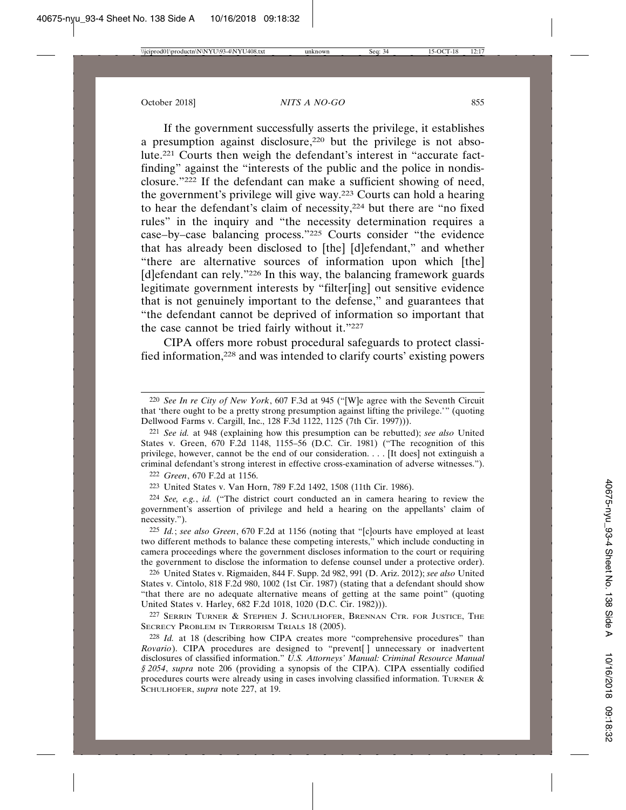If the government successfully asserts the privilege, it establishes a presumption against disclosure,220 but the privilege is not absolute.221 Courts then weigh the defendant's interest in "accurate factfinding" against the "interests of the public and the police in nondisclosure."222 If the defendant can make a sufficient showing of need, the government's privilege will give way.223 Courts can hold a hearing to hear the defendant's claim of necessity,224 but there are "no fixed rules" in the inquiry and "the necessity determination requires a case–by–case balancing process."225 Courts consider "the evidence that has already been disclosed to [the] [d]efendant," and whether "there are alternative sources of information upon which [the] [d]efendant can rely."<sup>226</sup> In this way, the balancing framework guards legitimate government interests by "filter[ing] out sensitive evidence that is not genuinely important to the defense," and guarantees that "the defendant cannot be deprived of information so important that the case cannot be tried fairly without it."227

CIPA offers more robust procedural safeguards to protect classified information,228 and was intended to clarify courts' existing powers

222 *Green*, 670 F.2d at 1156.

223 United States v. Van Horn, 789 F.2d 1492, 1508 (11th Cir. 1986).

224 *See, e.g.*, *id.* ("The district court conducted an in camera hearing to review the government's assertion of privilege and held a hearing on the appellants' claim of necessity.").

226 United States v. Rigmaiden, 844 F. Supp. 2d 982, 991 (D. Ariz. 2012); *see also* United States v. Cintolo, 818 F.2d 980, 1002 (1st Cir. 1987) (stating that a defendant should show "that there are no adequate alternative means of getting at the same point" (quoting United States v. Harley, 682 F.2d 1018, 1020 (D.C. Cir. 1982))).

227 SERRIN TURNER & STEPHEN J. SCHULHOFER, BRENNAN CTR. FOR JUSTICE, THE SECRECY PROBLEM IN TERRORISM TRIALS 18 (2005).

<sup>220</sup> *See In re City of New York*, 607 F.3d at 945 ("[W]e agree with the Seventh Circuit that 'there ought to be a pretty strong presumption against lifting the privilege.'" (quoting Dellwood Farms v. Cargill, Inc., 128 F.3d 1122, 1125 (7th Cir. 1997))).

<sup>221</sup> *See id.* at 948 (explaining how this presumption can be rebutted); *see also* United States v. Green, 670 F.2d 1148, 1155–56 (D.C. Cir. 1981) ("The recognition of this privilege, however, cannot be the end of our consideration. . . . [It does] not extinguish a criminal defendant's strong interest in effective cross-examination of adverse witnesses.").

<sup>225</sup> *Id.*; *see also Green*, 670 F.2d at 1156 (noting that "[c]ourts have employed at least two different methods to balance these competing interests," which include conducting in camera proceedings where the government discloses information to the court or requiring the government to disclose the information to defense counsel under a protective order).

<sup>228</sup> *Id.* at 18 (describing how CIPA creates more "comprehensive procedures" than *Rovario*). CIPA procedures are designed to "prevent<sup>[]</sup> unnecessary or inadvertent disclosures of classified information." *U.S. Attorneys' Manual: Criminal Resource Manual § 2054*, *supra* note 206 (providing a synopsis of the CIPA). CIPA essentially codified procedures courts were already using in cases involving classified information. TURNER  $\&$ SCHULHOFER, *supra* note 227, at 19.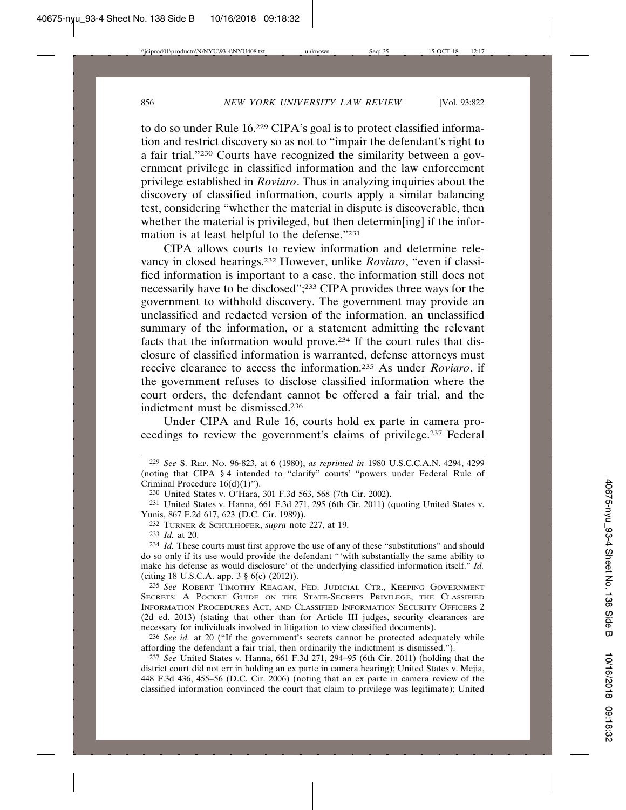to do so under Rule 16.229 CIPA's goal is to protect classified information and restrict discovery so as not to "impair the defendant's right to a fair trial."230 Courts have recognized the similarity between a government privilege in classified information and the law enforcement privilege established in *Roviaro*. Thus in analyzing inquiries about the discovery of classified information, courts apply a similar balancing test, considering "whether the material in dispute is discoverable, then whether the material is privileged, but then determine if the information is at least helpful to the defense."231

CIPA allows courts to review information and determine relevancy in closed hearings.232 However, unlike *Roviaro*, "even if classified information is important to a case, the information still does not necessarily have to be disclosed";233 CIPA provides three ways for the government to withhold discovery. The government may provide an unclassified and redacted version of the information, an unclassified summary of the information, or a statement admitting the relevant facts that the information would prove.234 If the court rules that disclosure of classified information is warranted, defense attorneys must receive clearance to access the information.235 As under *Roviaro*, if the government refuses to disclose classified information where the court orders, the defendant cannot be offered a fair trial, and the indictment must be dismissed.236

Under CIPA and Rule 16, courts hold ex parte in camera proceedings to review the government's claims of privilege.237 Federal

233 *Id.* at 20.

<sup>229</sup> *See* S. REP. NO. 96-823, at 6 (1980), *as reprinted in* 1980 U.S.C.C.A.N. 4294, 4299 (noting that CIPA § 4 intended to "clarify" courts' "powers under Federal Rule of Criminal Procedure 16(d)(1)").

<sup>230</sup> United States v. O'Hara, 301 F.3d 563, 568 (7th Cir. 2002).

 $231$  United States v. Hanna, 661 F.3d 271, 295 (6th Cir. 2011) (quoting United States v. Yunis, 867 F.2d 617, 623 (D.C. Cir. 1989)).

<sup>232</sup> TURNER & SCHULHOFER, *supra* note 227, at 19.

<sup>234</sup> *Id.* These courts must first approve the use of any of these "substitutions" and should do so only if its use would provide the defendant "'with substantially the same ability to make his defense as would disclosure' of the underlying classified information itself." *Id.* (citing 18 U.S.C.A. app. 3 § 6(c) (2012)).

<sup>235</sup> *See* ROBERT TIMOTHY REAGAN, FED. JUDICIAL CTR., KEEPING GOVERNMENT SECRETS: A POCKET GUIDE ON THE STATE-SECRETS PRIVILEGE, THE CLASSIFIED INFORMATION PROCEDURES ACT, AND CLASSIFIED INFORMATION SECURITY OFFICERS 2 (2d ed. 2013) (stating that other than for Article III judges, security clearances are necessary for individuals involved in litigation to view classified documents).

<sup>236</sup> *See id.* at 20 ("If the government's secrets cannot be protected adequately while affording the defendant a fair trial, then ordinarily the indictment is dismissed.").

<sup>237</sup> *See* United States v. Hanna, 661 F.3d 271, 294–95 (6th Cir. 2011) (holding that the district court did not err in holding an ex parte in camera hearing); United States v. Mejia, 448 F.3d 436, 455–56 (D.C. Cir. 2006) (noting that an ex parte in camera review of the classified information convinced the court that claim to privilege was legitimate); United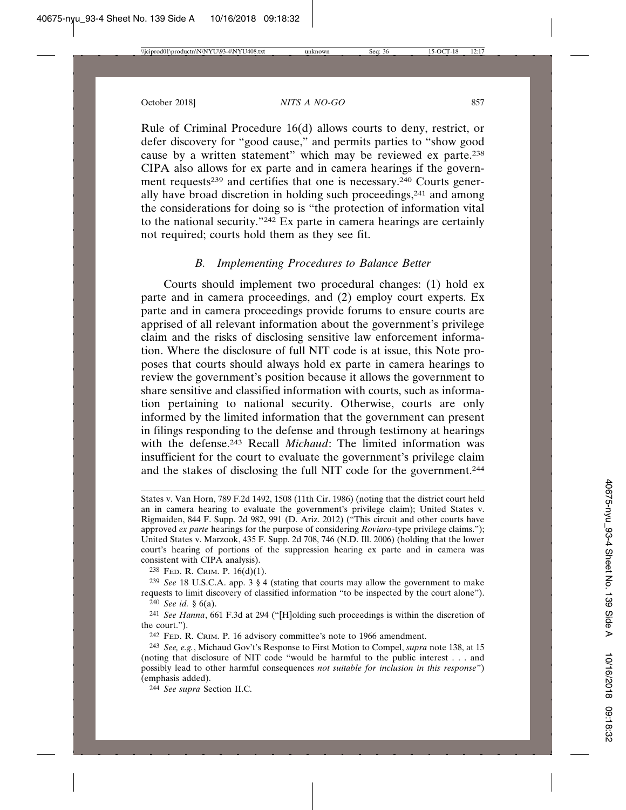Rule of Criminal Procedure 16(d) allows courts to deny, restrict, or defer discovery for "good cause," and permits parties to "show good cause by a written statement" which may be reviewed ex parte.238 CIPA also allows for ex parte and in camera hearings if the government requests<sup>239</sup> and certifies that one is necessary.<sup>240</sup> Courts generally have broad discretion in holding such proceedings,241 and among the considerations for doing so is "the protection of information vital to the national security."242 Ex parte in camera hearings are certainly not required; courts hold them as they see fit.

## *B. Implementing Procedures to Balance Better*

Courts should implement two procedural changes: (1) hold ex parte and in camera proceedings, and (2) employ court experts. Ex parte and in camera proceedings provide forums to ensure courts are apprised of all relevant information about the government's privilege claim and the risks of disclosing sensitive law enforcement information. Where the disclosure of full NIT code is at issue, this Note proposes that courts should always hold ex parte in camera hearings to review the government's position because it allows the government to share sensitive and classified information with courts, such as information pertaining to national security. Otherwise, courts are only informed by the limited information that the government can present in filings responding to the defense and through testimony at hearings with the defense.<sup>243</sup> Recall *Michaud*: The limited information was insufficient for the court to evaluate the government's privilege claim and the stakes of disclosing the full NIT code for the government.244

238 FED. R. CRIM. P. 16(d)(1).

239 *See* 18 U.S.C.A. app. 3 § 4 (stating that courts may allow the government to make requests to limit discovery of classified information "to be inspected by the court alone").

240 *See id.* § 6(a).

241 *See Hanna*, 661 F.3d at 294 ("[H]olding such proceedings is within the discretion of the court.").

242 FED. R. CRIM. P. 16 advisory committee's note to 1966 amendment.

244 *See supra* Section II.C.

States v. Van Horn, 789 F.2d 1492, 1508 (11th Cir. 1986) (noting that the district court held an in camera hearing to evaluate the government's privilege claim); United States v. Rigmaiden, 844 F. Supp. 2d 982, 991 (D. Ariz. 2012) ("This circuit and other courts have approved *ex parte* hearings for the purpose of considering *Roviaro*-type privilege claims."); United States v. Marzook, 435 F. Supp. 2d 708, 746 (N.D. Ill. 2006) (holding that the lower court's hearing of portions of the suppression hearing ex parte and in camera was consistent with CIPA analysis).

<sup>243</sup> *See, e.g.*, Michaud Gov't's Response to First Motion to Compel, *supra* note 138, at 15 (noting that disclosure of NIT code "would be harmful to the public interest . . . and possibly lead to other harmful consequences *not suitable for inclusion in this response*") (emphasis added).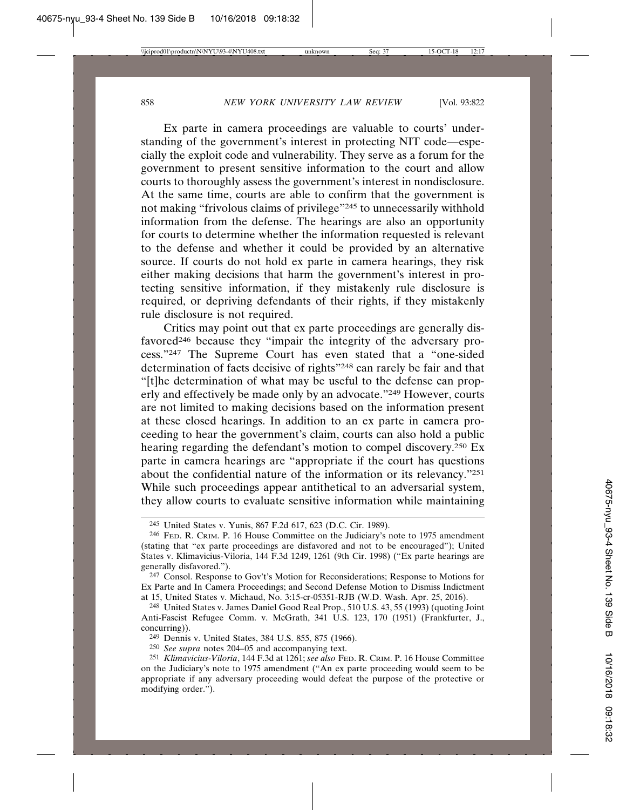Ex parte in camera proceedings are valuable to courts' understanding of the government's interest in protecting NIT code—especially the exploit code and vulnerability. They serve as a forum for the government to present sensitive information to the court and allow courts to thoroughly assess the government's interest in nondisclosure. At the same time, courts are able to confirm that the government is not making "frivolous claims of privilege"245 to unnecessarily withhold information from the defense. The hearings are also an opportunity for courts to determine whether the information requested is relevant to the defense and whether it could be provided by an alternative source. If courts do not hold ex parte in camera hearings, they risk either making decisions that harm the government's interest in protecting sensitive information, if they mistakenly rule disclosure is required, or depriving defendants of their rights, if they mistakenly rule disclosure is not required.

Critics may point out that ex parte proceedings are generally disfavored<sup>246</sup> because they "impair the integrity of the adversary process."247 The Supreme Court has even stated that a "one-sided determination of facts decisive of rights"248 can rarely be fair and that "[t]he determination of what may be useful to the defense can properly and effectively be made only by an advocate."249 However, courts are not limited to making decisions based on the information present at these closed hearings. In addition to an ex parte in camera proceeding to hear the government's claim, courts can also hold a public hearing regarding the defendant's motion to compel discovery.250 Ex parte in camera hearings are "appropriate if the court has questions about the confidential nature of the information or its relevancy."251 While such proceedings appear antithetical to an adversarial system, they allow courts to evaluate sensitive information while maintaining

<sup>245</sup> United States v. Yunis, 867 F.2d 617, 623 (D.C. Cir. 1989).

<sup>246</sup> FED. R. CRIM. P. 16 House Committee on the Judiciary's note to 1975 amendment (stating that "ex parte proceedings are disfavored and not to be encouraged"); United States v. Klimavicius-Viloria, 144 F.3d 1249, 1261 (9th Cir. 1998) ("Ex parte hearings are generally disfavored.").

<sup>247</sup> Consol. Response to Gov't's Motion for Reconsiderations; Response to Motions for Ex Parte and In Camera Proceedings; and Second Defense Motion to Dismiss Indictment at 15, United States v. Michaud, No. 3:15-cr-05351-RJB (W.D. Wash. Apr. 25, 2016).

<sup>248</sup> United States v. James Daniel Good Real Prop., 510 U.S. 43, 55 (1993) (quoting Joint Anti-Fascist Refugee Comm. v. McGrath, 341 U.S. 123, 170 (1951) (Frankfurter, J., concurring)).

<sup>249</sup> Dennis v. United States, 384 U.S. 855, 875 (1966).

<sup>250</sup> *See supra* notes 204–05 and accompanying text.

<sup>251</sup> *Klimavicius-Viloria*, 144 F.3d at 1261; *see also* FED. R. CRIM. P. 16 House Committee on the Judiciary's note to 1975 amendment ("An ex parte proceeding would seem to be appropriate if any adversary proceeding would defeat the purpose of the protective or modifying order.").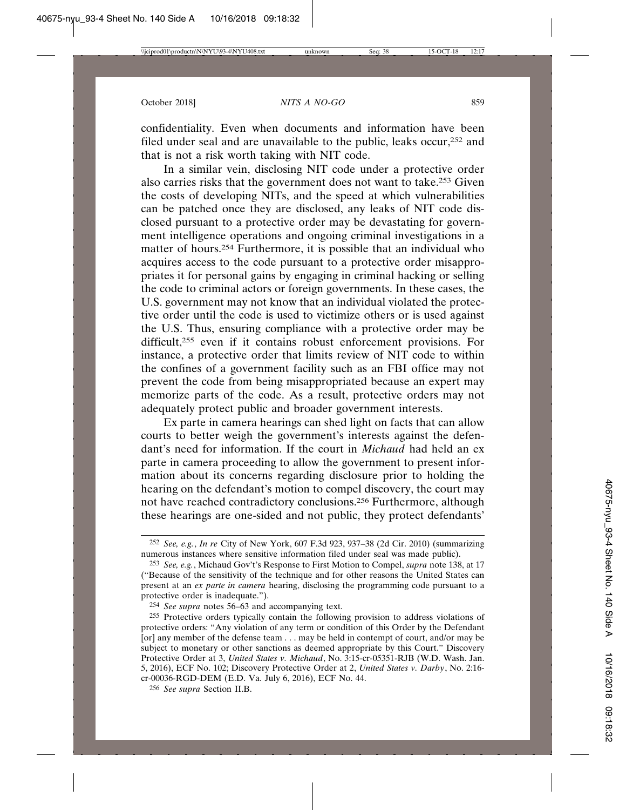confidentiality. Even when documents and information have been filed under seal and are unavailable to the public, leaks occur,252 and that is not a risk worth taking with NIT code.

In a similar vein, disclosing NIT code under a protective order also carries risks that the government does not want to take.253 Given the costs of developing NITs, and the speed at which vulnerabilities can be patched once they are disclosed, any leaks of NIT code disclosed pursuant to a protective order may be devastating for government intelligence operations and ongoing criminal investigations in a matter of hours.254 Furthermore, it is possible that an individual who acquires access to the code pursuant to a protective order misappropriates it for personal gains by engaging in criminal hacking or selling the code to criminal actors or foreign governments. In these cases, the U.S. government may not know that an individual violated the protective order until the code is used to victimize others or is used against the U.S. Thus, ensuring compliance with a protective order may be difficult,255 even if it contains robust enforcement provisions. For instance, a protective order that limits review of NIT code to within the confines of a government facility such as an FBI office may not prevent the code from being misappropriated because an expert may memorize parts of the code. As a result, protective orders may not adequately protect public and broader government interests.

Ex parte in camera hearings can shed light on facts that can allow courts to better weigh the government's interests against the defendant's need for information. If the court in *Michaud* had held an ex parte in camera proceeding to allow the government to present information about its concerns regarding disclosure prior to holding the hearing on the defendant's motion to compel discovery, the court may not have reached contradictory conclusions.256 Furthermore, although these hearings are one-sided and not public, they protect defendants'

<sup>252</sup> *See, e.g.*, *In re* City of New York, 607 F.3d 923, 937–38 (2d Cir. 2010) (summarizing numerous instances where sensitive information filed under seal was made public).

<sup>253</sup> *See, e.g.*, Michaud Gov't's Response to First Motion to Compel, *supra* note 138, at 17 ("Because of the sensitivity of the technique and for other reasons the United States can present at an *ex parte in camera* hearing, disclosing the programming code pursuant to a protective order is inadequate.").

<sup>254</sup> *See supra* notes 56–63 and accompanying text.

<sup>255</sup> Protective orders typically contain the following provision to address violations of protective orders: "Any violation of any term or condition of this Order by the Defendant [or] any member of the defense team . . . may be held in contempt of court, and/or may be subject to monetary or other sanctions as deemed appropriate by this Court." Discovery Protective Order at 3, *United States v. Michaud*, No. 3:15-cr-05351-RJB (W.D. Wash. Jan. 5, 2016), ECF No. 102; Discovery Protective Order at 2, *United States v. Darby*, No. 2:16 cr-00036-RGD-DEM (E.D. Va. July 6, 2016), ECF No. 44.

<sup>256</sup> *See supra* Section II.B.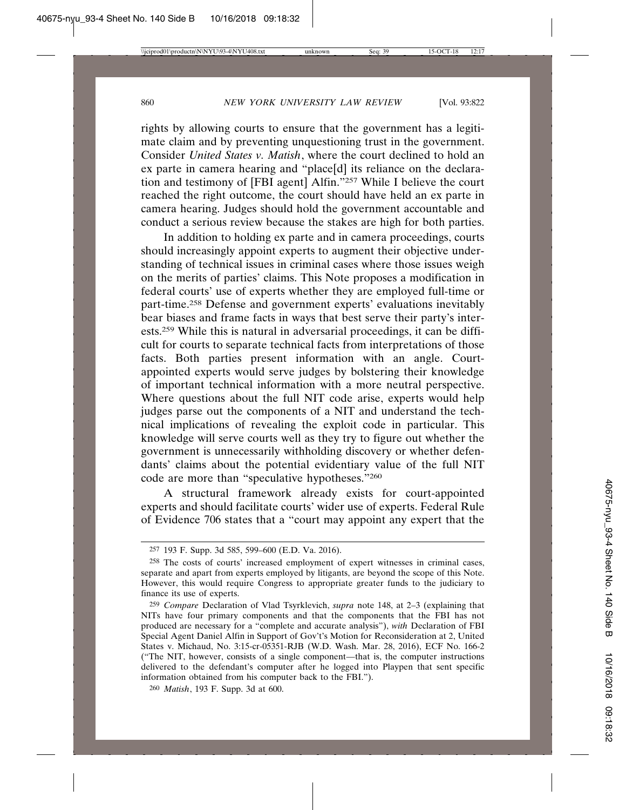rights by allowing courts to ensure that the government has a legitimate claim and by preventing unquestioning trust in the government. Consider *United States v. Matish*, where the court declined to hold an ex parte in camera hearing and "place[d] its reliance on the declaration and testimony of [FBI agent] Alfin."257 While I believe the court reached the right outcome, the court should have held an ex parte in camera hearing. Judges should hold the government accountable and conduct a serious review because the stakes are high for both parties.

In addition to holding ex parte and in camera proceedings, courts should increasingly appoint experts to augment their objective understanding of technical issues in criminal cases where those issues weigh on the merits of parties' claims. This Note proposes a modification in federal courts' use of experts whether they are employed full-time or part-time.258 Defense and government experts' evaluations inevitably bear biases and frame facts in ways that best serve their party's interests.259 While this is natural in adversarial proceedings, it can be difficult for courts to separate technical facts from interpretations of those facts. Both parties present information with an angle. Courtappointed experts would serve judges by bolstering their knowledge of important technical information with a more neutral perspective. Where questions about the full NIT code arise, experts would help judges parse out the components of a NIT and understand the technical implications of revealing the exploit code in particular. This knowledge will serve courts well as they try to figure out whether the government is unnecessarily withholding discovery or whether defendants' claims about the potential evidentiary value of the full NIT code are more than "speculative hypotheses."260

A structural framework already exists for court-appointed experts and should facilitate courts' wider use of experts. Federal Rule of Evidence 706 states that a "court may appoint any expert that the

<sup>257</sup> 193 F. Supp. 3d 585, 599–600 (E.D. Va. 2016).

<sup>258</sup> The costs of courts' increased employment of expert witnesses in criminal cases, separate and apart from experts employed by litigants, are beyond the scope of this Note. However, this would require Congress to appropriate greater funds to the judiciary to finance its use of experts.

<sup>259</sup> *Compare* Declaration of Vlad Tsyrklevich, *supra* note 148, at 2–3 (explaining that NITs have four primary components and that the components that the FBI has not produced are necessary for a "complete and accurate analysis"), *with* Declaration of FBI Special Agent Daniel Alfin in Support of Gov't's Motion for Reconsideration at 2, United States v. Michaud, No. 3:15-cr-05351-RJB (W.D. Wash. Mar. 28, 2016), ECF No. 166-2 ("The NIT, however, consists of a single component—that is, the computer instructions delivered to the defendant's computer after he logged into Playpen that sent specific information obtained from his computer back to the FBI.").

<sup>260</sup> *Matish*, 193 F. Supp. 3d at 600.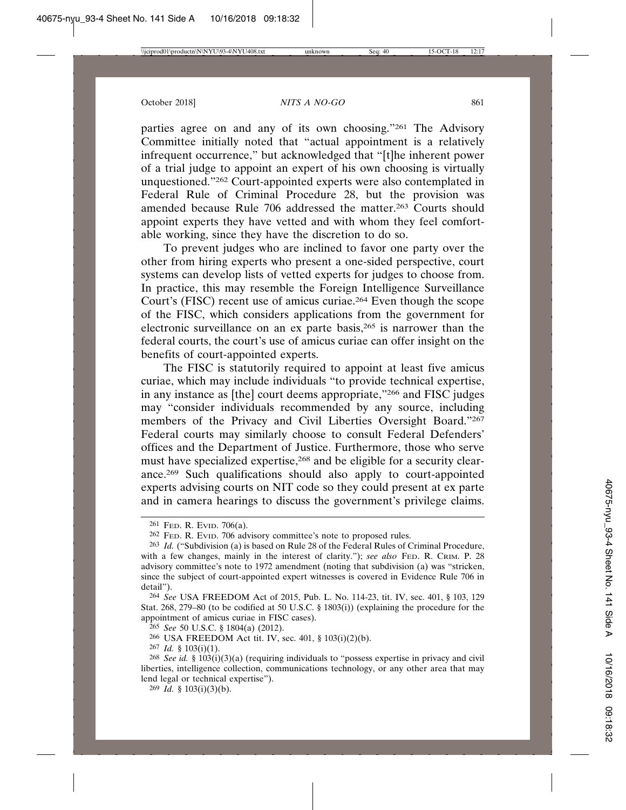parties agree on and any of its own choosing."261 The Advisory Committee initially noted that "actual appointment is a relatively infrequent occurrence," but acknowledged that "[t]he inherent power of a trial judge to appoint an expert of his own choosing is virtually unquestioned."262 Court-appointed experts were also contemplated in Federal Rule of Criminal Procedure 28, but the provision was amended because Rule 706 addressed the matter.<sup>263</sup> Courts should appoint experts they have vetted and with whom they feel comfortable working, since they have the discretion to do so.

To prevent judges who are inclined to favor one party over the other from hiring experts who present a one-sided perspective, court systems can develop lists of vetted experts for judges to choose from. In practice, this may resemble the Foreign Intelligence Surveillance Court's (FISC) recent use of amicus curiae.264 Even though the scope of the FISC, which considers applications from the government for electronic surveillance on an ex parte basis,265 is narrower than the federal courts, the court's use of amicus curiae can offer insight on the benefits of court-appointed experts.

The FISC is statutorily required to appoint at least five amicus curiae, which may include individuals "to provide technical expertise, in any instance as [the] court deems appropriate,"266 and FISC judges may "consider individuals recommended by any source, including members of the Privacy and Civil Liberties Oversight Board."267 Federal courts may similarly choose to consult Federal Defenders' offices and the Department of Justice. Furthermore, those who serve must have specialized expertise,<sup>268</sup> and be eligible for a security clearance.269 Such qualifications should also apply to court-appointed experts advising courts on NIT code so they could present at ex parte and in camera hearings to discuss the government's privilege claims.

<sup>261</sup> FED. R. EVID. 706(a).

<sup>262</sup> FED. R. EVID. 706 advisory committee's note to proposed rules.

<sup>263</sup> *Id.* ("Subdivision (a) is based on Rule 28 of the Federal Rules of Criminal Procedure, with a few changes, mainly in the interest of clarity."); *see also* FED. R. CRIM. P. 28 advisory committee's note to 1972 amendment (noting that subdivision (a) was "stricken, since the subject of court-appointed expert witnesses is covered in Evidence Rule 706 in detail").

<sup>264</sup> *See* USA FREEDOM Act of 2015, Pub. L. No. 114-23, tit. IV, sec. 401, § 103, 129 Stat. 268, 279–80 (to be codified at 50 U.S.C. § 1803(i)) (explaining the procedure for the appointment of amicus curiae in FISC cases).

<sup>265</sup> *See* 50 U.S.C. § 1804(a) (2012).

<sup>266</sup> USA FREEDOM Act tit. IV, sec. 401, § 103(i)(2)(b).

<sup>267</sup> *Id.* § 103(i)(1).

<sup>268</sup> *See id.* § 103(i)(3)(a) (requiring individuals to "possess expertise in privacy and civil liberties, intelligence collection, communications technology, or any other area that may lend legal or technical expertise").

<sup>269</sup> *Id.* § 103(i)(3)(b).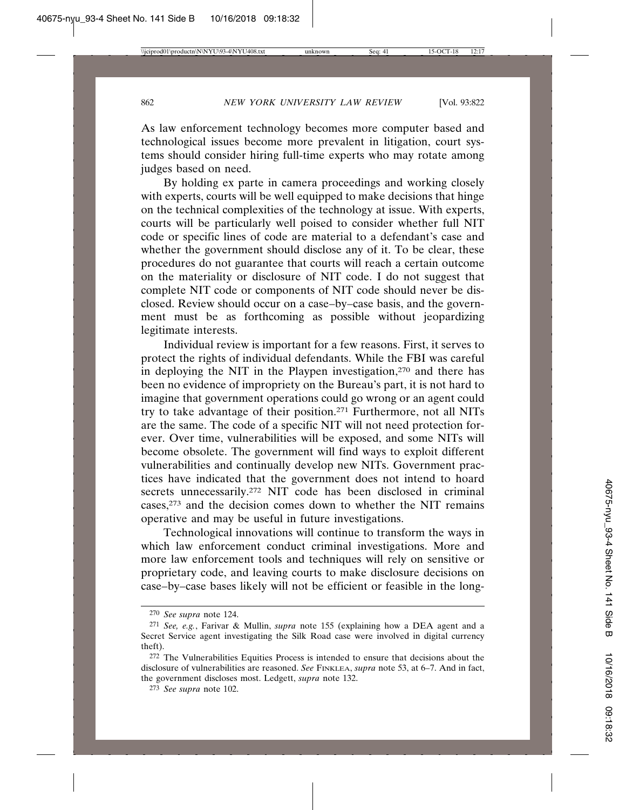As law enforcement technology becomes more computer based and technological issues become more prevalent in litigation, court systems should consider hiring full-time experts who may rotate among judges based on need.

By holding ex parte in camera proceedings and working closely with experts, courts will be well equipped to make decisions that hinge on the technical complexities of the technology at issue. With experts, courts will be particularly well poised to consider whether full NIT code or specific lines of code are material to a defendant's case and whether the government should disclose any of it. To be clear, these procedures do not guarantee that courts will reach a certain outcome on the materiality or disclosure of NIT code. I do not suggest that complete NIT code or components of NIT code should never be disclosed. Review should occur on a case–by–case basis, and the government must be as forthcoming as possible without jeopardizing legitimate interests.

Individual review is important for a few reasons. First, it serves to protect the rights of individual defendants. While the FBI was careful in deploying the NIT in the Playpen investigation,<sup>270</sup> and there has been no evidence of impropriety on the Bureau's part, it is not hard to imagine that government operations could go wrong or an agent could try to take advantage of their position.271 Furthermore, not all NITs are the same. The code of a specific NIT will not need protection forever. Over time, vulnerabilities will be exposed, and some NITs will become obsolete. The government will find ways to exploit different vulnerabilities and continually develop new NITs. Government practices have indicated that the government does not intend to hoard secrets unnecessarily.<sup>272</sup> NIT code has been disclosed in criminal cases,273 and the decision comes down to whether the NIT remains operative and may be useful in future investigations.

Technological innovations will continue to transform the ways in which law enforcement conduct criminal investigations. More and more law enforcement tools and techniques will rely on sensitive or proprietary code, and leaving courts to make disclosure decisions on case–by–case bases likely will not be efficient or feasible in the long-

<sup>270</sup> *See supra* note 124.

<sup>271</sup> *See, e.g.*, Farivar & Mullin, *supra* note 155 (explaining how a DEA agent and a Secret Service agent investigating the Silk Road case were involved in digital currency theft).

<sup>272</sup> The Vulnerabilities Equities Process is intended to ensure that decisions about the disclosure of vulnerabilities are reasoned. *See* FINKLEA, *supra* note 53, at 6-7. And in fact, the government discloses most. Ledgett, *supra* note 132.

<sup>273</sup> *See supra* note 102.